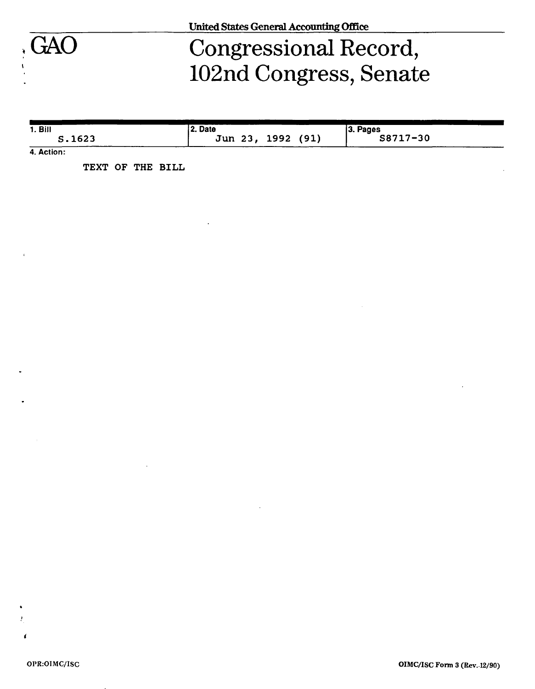

# GAO Congressional Record, : 102nd Congress, Senate

| 1. <b>B</b> | 22. Date          | 3. Pages |
|-------------|-------------------|----------|
| S.1623      | Jun 23, 1992 (91) | S8717-30 |

**4. Action:** 

**TEXT OF THE BILL**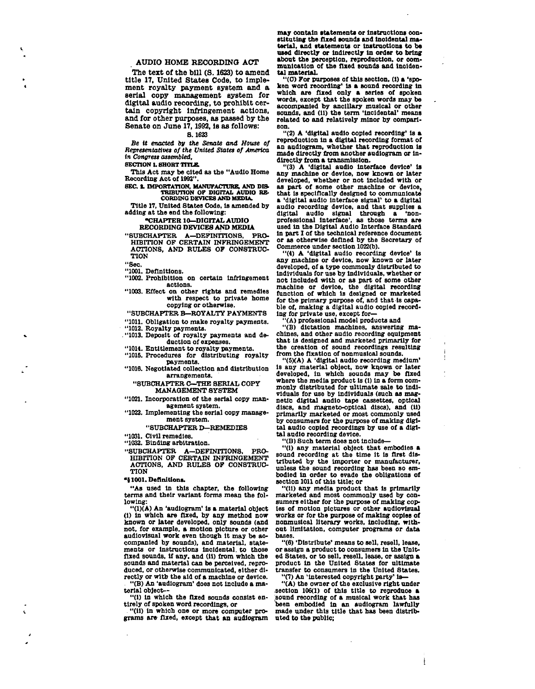#### **AUDIO HOME RECORDING ACT**

**The text of the bill (S. 1623) to amend title 17, United States Code, to Implement royalty payment system and a serial copy management system for digital audio recording, to prohibit certain copyright Infringement actions, and for other purposes, as passed by the Senate on June 17,1992, is as follows:** 

#### **8.1623**

*Be it enacted by the Senate and House of Representative\* of the United States of America in Congress assembled,* 

**SECTION 1. SHORT TITLE.** 

**This Act may be cited as the "Audio Home Recording Act of 1992".** 

**SEC. I. IMPORTATION, MANUFACTURE, AND DIS-TRIBUTION OF DIGITAL AUDIO RE-CORDING DEVICES AND MEDIA** 

**Title 17, United States Code, Is amended by adding at the end the following:** 

### **"CHAPTER 10—DIGITAL AUDIO**

#### **RECORDING DEVICES AND MEDIA**

**"SUBCHAPTER A—DEFINITIONS, PRO-HIBITION OF CERTAIN INFRINGEMENT** 

**ACTIONS, AND RULES OF CONSTRUC-TION "Sec.** 

**"1001. Definitions.** 

**"1002. Prohibition on certain Infringement actions.** 

**"1003. Effect on other rights and remedies with respect to private home copying or otherwise.** 

**"SUBCHAPTER B—ROYALTY PAYMENTS** 

**"1011. Obligation to make royalty payments.** 

**"1012. Royalty payments.** 

**. "1013. Deposit of royalty payments and deduction of expenses.** 

**"1014. Entitlement to royalty payments.** 

**"1016. Procedures for distributing royalty payments.** 

**"1016. Negotiated collection and distribution arrangements.** 

**"SUBCHAPTER C—THE SERIAL COPY MANAGEMENT SYSTEM** 

**"1021. Incorporation of the serial copy management system.** 

**"1022. Implementing the serial copy management system.** 

### **"SUBCHAPTER D—REMEDIES**

**"1031. Civil remedies.** 

**"1032. Binding arbitration.** 

**"SUBCHAPTER A—DEFINITIONS, PRO-HIBITION OF CERTAIN INFRINGEMENT ACTIONS, AND RULES OF CONSTRUC-TION** 

**«} 1001. Definition\*.** 

**"As used In this chapter, the following terms and their variant forms mean the following:** 

**"(1)(A) An 'audiogram' Is a material object (1) In which are flzed, by any method now known or later developed, only sounds (and not, for example, a motion picture or other audiovisual work even though it may be accompanied by sounds), and material, state-ments or instructions incidental, to those fixed sounds, if any. and (11) from which the sounds and material can be perceived, reproduced, or otherwise communicated, either directly or with the aid of a machine or device.** 

**"(B) An 'audiogram' does not Include a material object—** 

**"(1) in which the fixed sounds consist entirely of spoken word recordings, or** 

**"(11) in which one or more computer programs are fixed, except that an audiogram**  may contain statements or instructions con**stituting the fixed sounds and lnoidental material, and statements or Instructions to be used directly or indirectly in order to bring about the perception, reproduction, or communication of the fixed sounds and incidental material.** 

**"(C) For purposes of this section, (1) a 'spoken word recording' is a sound recording in which are fixed only a series of spoken words, except that the spoken words may be accompanied by ancillary musical or other sounds, and (11) the term 'incidental' means related to and relatively minor by comparison.** 

**"(2) A 'digital audio copied recording' is a reproduction in a digital recording format of an audiogram, whether that reproduction is made directly from another audiogram or indirectly from a transmission.** 

**"(3) A 'digital audio interface device' is any machine or device, now known or later developed, whether or not included with or as part of some other machine or device, that is specifically designed to communicate a 'digital audio Interface signal' to a digital audio recording device, and that supplies a digital audio signal through a 'nonprofessional interface', as those terms are used in the Digital Audio Interface Standard In part I of the technical reference document or as otherwise defined by the Secretary of Commerce under section 1022(b).** 

**"(4) A 'digital audio recording device' is any machine or device, now known or later developed, of a type commonly distributed to individuals for use by Individuals, whether or not Included with or as part of some other machine or device, the digital recording function of which is designed or marketed for the primary purpose of, and that Is capable of, making a digital audio copied recording for private use, except for—** 

**"(A) professional model products and** 

**"(B) dictation machines, answering ma-chines, and other audio recording equipment that Is designed and marketed primarily for the creation of sound recordings resulting from the fixation of nonmuslcal sounds.** 

**"(S)(A) A 'digital audio recording medium' Is any material object, now kqown or later developed, In which sounds may be fixed where the media product Is (i) in a form commonly distributed for ultimate sale to indi-viduals for use by Individuals (such as magnetic digital audio tape cassettes, optical discs, and magneto-optical discs), and (11) primarily marketed or most commonly used by consumers for the purpose of making digital audio copied recordings by use of a digital audio recording device.** 

**"(B) Such term does not Include—** 

**"(1) any material object that embodies a sound recording at the time It is first distributed by the importer or manufacturer, unless the sound recording has been so embodied in order to evade the obligations of section 1011 of this title; or** 

**"(11) any media product that is primarily marketed and most commonly used by consumers either for the purpose of making copies of motion pictures or other audiovisual works or for the purpose of making copies of nonmuslcal literary works, including, without limitation, computer programs or data bases.** 

**"(6) 'Distribute' means to sell, resell, lease, or assign a product to consumers In the United States, or to sell, resell, lease, or assign a product in the United States for ultimate transfer to consumers in the United States. "(7) An 'interested copyright party' is—** 

**"(A) the owner of the exclusive right under** 

**.section 106(1) of this title to reproduce a sound recording of a musical work that has been embodied in an audiogram lawfully made under this title that has been distributed to the public;** 

4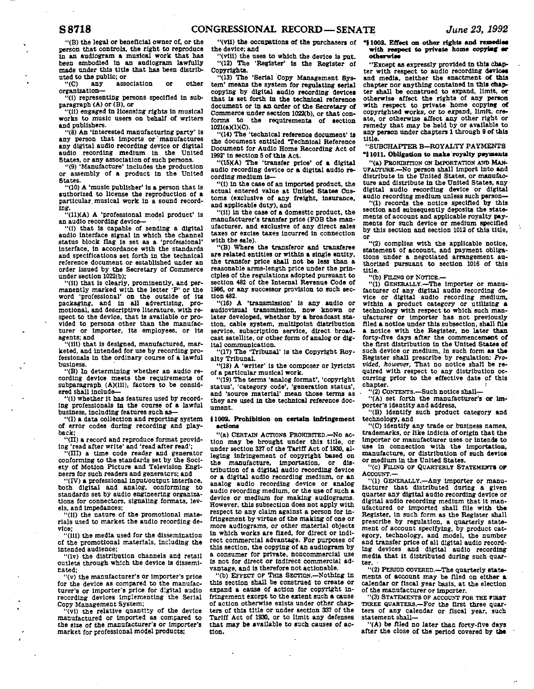**"(B) the legal or beneficial owner of, or the person that controls, the right to reproduce In an audiogram a musical work that has been embodied in an audiogram lawfully made under this title that has been distributed to the public; or** 

**"(C) any association or other organization—** 

**"(1) representing persons specified In subparagraph (A) or (B), or** 

**"(11) engaged In licensing rights In musical works to music users on behalf of writers and publishers.** 

**"(8) An 'interested manufacturing party' is any person that Imports or' manufactures any digital audio recording device or digital audio recording medium in the United States, or any association of such persons.** 

**"(9) 'Manufacture\* Includes the production or assembly of a product In the United States.** 

**"(10) A 'music publisher' is a person that Is authorized to license the reproduction of a particular, musical work In a sound record-**

**ing. "(11)(A) A 'professional model product' Is an audio recording device—** 

**"(1) that Is capable of sending a digital audio interface signal In which the channel status block flag is set as a 'professional' Interface, In accordance with the standards and specifications set forth In the technical reference document or established under an order Issued by the Secretary of Commerce under section 1022(b):** 

**"(11) that Is clearly, prominently, and permanently marked with the letter 'P' or the word 'professional' on the outside of Its**  packaging, and in all advertising, **motional, and descriptive literature, with respect to the device, that is available or provided to persons other than the manufacturer or Importer, Its employees, or Its agents; and** 

**"(ill) that Is designed, manufactured, marketed, and intended for use by recording professionals In the ordinary course of a lawful business.** 

**"(B) In determining whether an audio recording device meets the requirements of subparagraph (A)(lll), factors to be considered shall include—** 

**"(i) whether It has features used by recording professionals In the course of a lawful business, Including features such as—** 

**"(I) a data collection and reporting system of error codes during recording and playback;** 

**"(II) a record and reproduce format provid-**

**ing 'read after write" and 'read after read'; "(III) a time code reader and generator conforming to the standards set by the Society of Motion Picture and Television Engineers for such readers and generators; and** 

**"(IV) a professional Input/output Interface, both digital and analog, conforming to standards set by audio engineering organizations for connectors, signaling formats, levels, and Impedances;** 

**"(11) the nature of the promotional materials used to market the audio recording device;** 

**"(ill) the media used for the dissemination of the promotional materials, Including the Intended audience;** 

**"(lv) the distribution channels and retail outlets through which the device Is disseminated;** 

**"(v) the manufacturer's or importer's price for the device as compared to the manufacturer's or Importer's price for digital audio recording devices Implementing the Serial Copy Management System;** 

**"(vl) the relative quantity of the device manufactured or Imported as compared to the size of the manufacturer's or Importer's market for professional model products;** 

**the device; and** 

**"(vlll) the uses to which the device is put. "(12) The 'Register' la the Register of Copyrights.** 

**"(13) The 'Serial Copy Management System' means the system for regulating serial copying by digital audio recording devices that is set forth in the technical reference document or In an order of the Secretary of Commerce under section 1022(b), or that conforms to the requirements of section**  1021(a)(1)(C).

**"(14) The 'technical reference document' is the document entitled Technical Reference Document for Audio Home Recording Act of 1992' In section S of this Act.** 

**"(15XA) The 'transfer price' of a digital audio recording device or a digital audio recording medium Is—** 

**"(1) In the case of an Imported product, the actual entered value at United States Customs (exclusive of any freight. Insurance, and applicable duty), and** 

**"(11) In the case of a domestic product, the manufacturer's transfer price (FOB the manufacturer, and exclusive of any direct sales taxes or excise taxes Incurred In connection with the sale).** 

**"(B) Where the transferor and transferee are related entities or within a single entity, the transfer price shall not be less than a reasonable arms-length price under the principles of the regulations adopted pursuant to section 462 of the Internal Revenue Code of 1986, or any successor provision to such section 482.** 

**"(16) A 'transmission' Is any audio or audiovisual transmission, now known or later developed, whether by a broadcast station, cable system, multipoint distribution service, subscription service, direct broadcast satellite, or other form of analog or digital communication.** 

**"(17) The 'Tribunal' is the Copyright Royalty Tribunal.** 

**"(18) A 'writer' Is the composer or lyricist of a particular musical work.** 

**"(19) The terms 'analog format', 'copyright status', 'category code', 'generation status', and 'source material' mean those terms as they are used in the technical reference document.** 

#### **{1002. Prohibition on certain Infringement actions**

**"(a) CERTAIN ACTIONS PROHiBrrED.—No action may be brought under this title, or under section 337 of the Tariff Act of 1930, alleging infringement of copyright based on the manufacture, Importation, or distribution of a digital audio recording device or a digital audio recording medium, or an analog audio recording device or analog audio recording medium, or the use of such a device or medium for making audiograms. However, this subsection does not apply with respect to any claim against a person for infringement by virtue of the making of one or more audiograms, or other material objects in which works are fixed, for direct or indirect commercial advantage. For purposes of this section, the copying of an audiogram by a consumer for private, noncommercial use Is not for direct or indirect commercial advantage, and is therefore not actionable.** 

**"(b) EFFECT OF THIS SECTION.—Nothing In this section shall be construed to create or expand a cause of action for copyright infringement except to the extent such a cause of action otherwise exists under other chapters of this title or under section 337 of the Tariff Act of 1930, or to limit any defenses that may be available to such causes of action.** 

"(vil) the occupations of the purchasers of "\$1003. Effect on other rights and remedies **with respect to private home copyiag or otherwise** 

> **"Except as expressly provided in this chapter with respect to audio recording devices and media, neither the enactment of this chapter nor anything contained in this chapter shall be construed to expand, limit, or otherwise affect the rights of any person with respect to private home copying of copyrighted works, or to expand, limit, create, or otherwise affect any other right or remedy that may be held by or available to any person under chapters 1 through 9 of this title.**

**"SUBCHAPTER B—ROYALTY PAYMENTS "81011. Obligation to make royalty payments** 

**"(a) PROHIBITION ON IMPORTATION AND MAN-UFACTURE.—No person shall Import into and distribute in the United States, or manufacture and distribute In the United States, any digital audio recording device or digital audio recording medium unless such person—** 

**"(1) records the notice specified by this section and subsequently deposits the statements of account and applicable royalty payments for such device or medium specified by this section and section 1012 of this title, or** 

**"(2) complies with the applicable notice, statement of account, and payment obligations under a negotiated arrangement authorized pursuant to section 1016 of this title.** 

**"(b) FIUNO OF NOTICE.—** 

**"(1) GENERALLY.—The Importer or manufacturer of any digital audio recording de-vice or digital audio recording medium, within a product category or utilizing a technology with respect to which such manufacturer or Importer has not previously filed a notice under this subsection, shall file a notice with the Register, no later than forty-five days after the commencement of the first distribution in the United States of such device or medium, In such form as the Register shall prescribe by regulation:** *Provided, however.* **That no notice shall be required with respect to any distribution occurring prior to the effective date of this chapter.** 

**. "(2) CONTENTS.—Such notice shall—** 

**"(A) set forth the manufacturer's or Importer's identity and address,** 

**"(B) identify such product category and technology, and** 

**"(C) Identify any trade or business names, trademarks, or like indicia of origin that the Importer or manufacturer uses or Intends to use In connection with the importation, manufacture, or distribution of such device or medium in the United States.** 

**"(c) FILINO OF QUARTERLY STATEMENTS or ACCOUNT.—** 

**"(1) GENERALLY.—Any importer or manufacturer that distributed during a given quarter any digital audio recording device or digital audio recording medium that it manufactured or Imported shall file with the Register, in such form as the Register shall prescribe by regulation, a quarterly statement of account specifying, by product category, technology, and model, the number and transfer price of all digital audio recording devices and digital audio recording media that it distributed during such quar-ter. •** 

**"(2) PERIOD COVERED.—The quarterly statements of account may be filed on either a calendar or fiscal year basis, at the election of the manufacturer or Importer.** 

**"(3) STATEMENTS OF ACCOUNT FOR THE FIRST THREE QUARTERS.—For the first three quarters of any calendar or fiscal year, such statement shall—** 

**"(A) be filed no later than forty-five days after the close of the period covered by the**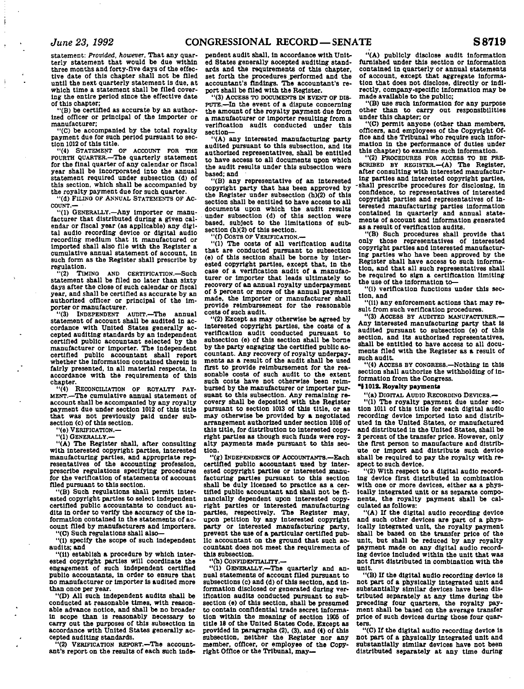Ť

 $\mathbf{I}$ 

**statement:** *Provided, however,* **That any quarterly statement that would be due within three months and forty-flve days of the effective date of this chapter shall not be filed until the next quarterly statement is due, at which time a statement shall be filed covering the entire period since the effective date of this chapter;** 

**"(B) be certified as accurate by an authorized officer or principal of the Importer or manufacturer;** 

**"(C) be accompanied by the total royalty payment due for such period pursuant to section 1012 of this title.** 

**"(4) STATEMENT OF ACCOUNT FOR THE FOURTH QUARTER.—The quarterly statement for the final quarter of any calendar or fiscal year shall be Incorporated Into the annual statement required under subsection (d) of this section, which shall be accompanied by the royalty payment due for such quarter.** 

**"(d) FILINQ OF ANNUAL STATEMENTS OF AC-COUNT.—** 

**"(1) GENERALLY.—Any importer or manufacturer that distributed during a given calendar or fiscal year (as applicable) any digital audio recording device or digital audio recording medium that It manufactured or imported shall also file with the Register a cumulative annual statement of account, In such form as the Register shall prescribe by regulation.**<br>
"(2) **TIMING** 

AND CERTIFICATION.**-Such statement shall be filed no later than sixty days after the close of such calendar or fiscal year, and shall be certified as accurate by an authorized officer or principal of the Importer or manufacturer.** 

**"(3) INDEPENDENT AUDIT.—The annual statement of account shall be audited In accordance with United States generally accepted auditing standards by an Independent certified public accountant selected by the manufacturer or Importer. The Independent certified public accountant shall report whether the Information contained therein Is fairly presented, in all material respects, In accordance with the requirements of this chapter.** 

**"(4) RECONCILIATION OF ROYALTY PAY-MENT.—The cumulative annual statement of account shall be accompanied by any royalty payment due under section 1012 of this title that was not previously paid under subsection (c) of this section.** 

**"(e) VERIFICATION.—** 

**"(1) GENERALLY.—** 

**"(A) The Register shall, after consulting with interested copyright parties. Interested manufacturing parties, and appropriate representatives of the accounting profession, prescribe regulations specifying procedures for the verification of statements of account filed pursuant to this section.** 

**"(B) Such regulations shall permit interested copyright parties to select independent certified public accountants to conduct audits In order to verify the accuracy of the information contained in the statements of account filed by manufacturers and Importers.** 

**"(C) Such regulations shall also—** 

**"(1) specify the scope of such Independent audits; and** 

**"(il) establish a procedure by which interested copyright parties will coordinate the engagement of such independent certified publlo accountants, in order to ensure that no manufacturer or Importer Is audited more than once per year.** 

**"(D) All such Independent audits shall be conducted at reasonable times, with reasonable advance notice, and shall be no broader in scope than is reasonably necessary to carry out the purposes of this subsection in accordance with United States generally accepted auditing standards.** 

**"(2) VERIFICATION REPORT.—The accountant's report on the results of each such inde-**

**pendent audit shall. In accordance with United States generally aocepted auditing standards and the requirements of this chapter, set forth the procedures performed and the accountant's findings. The accountant's report shall be filed with the Register.** 

**"(3) ACCESS TO DOCUMENTS IN EVENT OF DIS-PUTE.—In the event of a dispute concerning the amount of the royalty payment due from a manufacturer or Importer resulting from a verification audit conducted under this section—** 

**"(A) any interested manufacturing party audited pursuant to this subsection, and its authorized representatives, shall be entitled to have access to all documents upon which the audit results under this subsection were based; and** 

**"(B) any representative of an Interested copyright party that has been approved by the Register under subsection (h)(2) of this section shall be entitled to have access to all documents upon which the audit results under subsection (d) of this section were based, subject to the limitations of subsection (h)(2) of this section.** 

**"(0 COSTS OF VERIFICATION.—** 

**"(1) The costs of all verification audits that are conducted pursuant to subsection (e) of this section shall be borne by interested copyright parties, except that, in the case of a verification audit of a manufacturer or importer that leads ultimately to recovery of an annual royalty underpayment of 6 percent or more of the annual payment made, the Importer or manufacturer shall provide reimbursement for the reasonable costs of such audit.** 

**"(2) Except as may otherwise be agreed by interested copyright parties, the costs of a verification audit conducted pursuant to subsection (e) of this section shall be borne by the party engaging the certified public accountant. Any recovery of royalty underpayments as a result of the audit shall be used first to provide reimbursement for the reasonable costs of such audit to the extent such costs have not otherwise been reimbursed by the manufacturer or importer pursuant to this subsection. Any remaining recovery shall be deposited with the Register pursuant to section 1013 of this title, or as may otherwise be provided by a negotiated arrangement authorized under section 1016 of this title, for distribution to interested copyright parties as though such funds were royalty payments made pursuant to this seotlon.** 

**"(g) INDEPENDENCE OF ACCOUNTANTS.—Each certified publlo accountant used by interested copyright parties or Interested manufacturing parties pursuant to this section shall be duly licensed to practice as a certified public accountant and shall not be financially dependent upon interested copyright parties or Interested manufacturing parties, respectively. The Register may, upon petition by any Interested copyright party or interested manufacturing party, prevent the use of a particular certified public accountant on the ground that such accountant does not meet the requirements of this subsection.** 

**"(h) CONFIDENTIALITY.—** 

**"(1) GENERALLY.—The quarterly and annual statements of account filed pursuant to subsections (c) and (d) of this section, and Information disclosed or generated during verification audits conducted pursuant to subsection (e) of this section, shall be presumed to contain confidential trade secret Information within the meaning of section 1905 of title 18 of the United States Code. Except as provided in paragraphs (2), (3), and (4) of this subsection, neither the Register nor any member, officer, or employee of the Copy-right Office or the Tribunal, may—** 

**"(A) publicly disclose audit Information furnished under this section or information contained in quarterly or annual statements of account, except that aggregate Information that does not disclose, directly or Indirectly, company-specific Information may be made available to the public;** 

**"(B) use such Information for any purpose other than to carry out responsibilities under this chapter; or** 

**"(C) permit anyone (other than members, officers, and employees of the Copyright Office and the Tribunal who require such information In the performance of duties under this chapter) to examine such information.** 

**"(2) PROCEDURES FOR ACCESS TO BE PRE-SCRIBED BY REGISTER.—(A) The Register, after consulting with interested manufacturing parties and Interested copyright parties, -shall prescribe procedures for disclosing, In confidence, to representatives of Interested copyright parties and representatives of interested manufacturing parties Information contained In quarterly and annual statements of account and Information generated as a result of verification audits.** 

**"(B) Such procedures shall provide that only those representatives of interested copyright parties and Interested manufacturing parties who have been approved by the Register shall have access to such information, and that all such representatives shall be required to sign a certification limiting the use of the information to—** 

**"(1) verification functions under this section, and** 

**"(11) any enforcement actions that may result from such verification procedures.** 

**"(3) ACCESS BY AUDITED MANUFACTURER.— Any Interested manufacturing party that is audited pursuant to subsection (e) of this section, and Its authorized representatives, shall be entitled to have access to all documents filed with the Register as a result of such audit.** 

**"(4) ACCESS BY CONGRESS.—Nothing in this section shall authorize the withholding of Information from the Congress.** 

### *"i* **1018. Royalty payment\***

**"(a) DIOITAL AUDIO RECORDINO DEVICES.— "(1) The royalty payment due under sec-**

**tion 1011 of this title for each digital audio recording device Imported into and distributed In the United States, or manufactured and distributed in the United States, shall be 2 percent of the transfer price. However, only the first person to manufacture and distribute or import and distribute such device shall be required to pay the royalty with respect to such device.** 

**"(2) With respect to a digital audio recording device first distributed in combination with one or more devices, either as a physically Integrated unit or as separate components, the royalty payment shall be calculated as follows:** 

**"(A) If the digital audio recording device and such other devices are part of a physically Integrated unit, the royalty payment shall be based on the transfer price of the unit, but shall be reduced by any royalty payment made on any digital audio recording device included within the unit that was not first distributed In combination with the unit.** 

**"(B) If the digital audio recording device is not part of a physically Integrated unit and substantially similar devices have been distributed separately at any time during the preceding four quarters, the royalty pay-ment shall be based on the average transfer price of such devices during those four quarters.** 

**"(C) If the digital audio recording device is not part of a physically Integrated unit and substantially similar devices have not been distributed separately at any time during**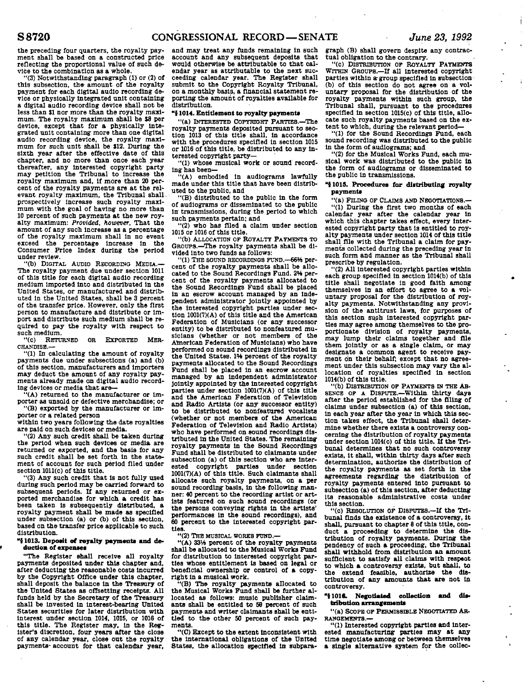**the preceding four quarters, the royalty payment shall be based on a constructed price reflecting the proportional value of such device to the combination as a whole.** 

**"(3) Notwithstanding paragraph (1) or (2) of this subsection, the- amount of the royalty payment for each digital audio recording device or physically Integrated unit containing a digital audio recording device shall not be less than SI nor more than the royalty maximum. The royalty maximum shall be \$8 per device, except that for a physically Integrated unit containing more than one digital audio recording device, the royalty maxi-mum for such unit shall be J12. During the sixth year after the effective date of this chapter, and no more than once each year thereafter, any Interested copyright party may petition the Tribunal to increase the royalty maximum and, If more than 20 percent of the royalty payments are at the relevant royalty maximum, the Tribunal shallprospectively Increase such royalty maximum with the goal of having no more than 10 percent of such payments at the new royalty maximum:** *Provided, however.* **That the amount of any such increase as a percentage of the royalty maximum shall in no event exceed the percentage increase In the**  exceed the percentage increase in the<br>Consumer Price Index during the period<br>under review.

**"(b) DIGITAL AUDIO RECORDING MEDIA.— The royalty payment due under section 1011 of this title for each digital audio recording medium imported Into and distributed in the United States, or manufactured and distributed In the United States, shall be 3 percent of the transfer price. However, only the first person to manufacture and distribute or import and distribute such medium shall be required to pay the royalty with respect to such medium.** 

**"(c) RETURNED OR EXPORTED MER-CHANDISE.—** 

**"(1) In calculating the amount of royalty payments due under subsections (a) and (b) of this section, manufacturers and importers may deduct the amount of any royalty payments already made on digital audio recording devices or media that are—** 

**"(A) returned to the manufacturer or importer as unsold or defective merchandise; or "(B) exported by the manufacturer or Im-**

**porter or a related person** 

**within two years following the date royalties are paid on such devices or media.** 

**"(2) Any such credit shall be taken during the period when such devices or media are returned or exported, and the basis for any such credit shall be set forth In the statement of account for such period filed under section 1011(c) of this title.** 

**"(3) Any such credit that is not fully used during such period may be carried forward to subsequent periods. If any returned or exported merchandise for which a credit has been taken is subsequently distributed, a royalty payment shall be made as specified under subsection (a) or (b) of this section,**  based on the transfer price applicable to such **distribution.** 

#### **"{1013. Deposit of royalty payments and de**duction of expenses

**"The Register shall receive all royalty payments deposited under this chapter and, after deducting the reasonable costs Incurred by the Copyright Office under this chapter,**  shall deposit the balance in the Treasury of **the United States as offsetting receipts. All funds held by the Secretary of the Treasury shall be invested in interest-bearing United States securities for later distribution with Interest under section 1014, 1015, or 1016 of this title. The Register may. In the Register's discretion, four years after the close of any calendar year, close out the royalty payments- account for that calendar year,**  **and may treat any funds remaining in such account and any subsequent deposits that would otherwise be attributable to that calendar year as attributable to the next succeeding calendar year. The Register shall submit to the Copyright Royalty Tribunal, on a monthly basis, a financial statement reporting the amount of royalties available for distribution.** 

#### **"{1014. Entitlement to royalty payment\***

**"(a) INTERESTED COPYRIGHT PARTIES.—The royalty payments deposited pursuant to seotlon 1013 of this title shall, in accordance with the procedures specified In section 1015 or 1016 of this title, be distributed to any Interested copyright party—** 

**"(1) whose musical work or sound recording has been—** 

**"(A) embodied in audiograms lawfully made under this title that have been distributed to the public, and** 

**"(B) distributed to the public in the form of audiograms or disseminated to the public in transmissions, during the period to which such payments pertain; and** 

**"(2) who has filed a claim under section 1015 or 1016 of this title.** 

**"(b) ALLOCATION OP ROYALTY PAYMENTS TO GROUPS.—The royalty payments shall be divided Into two funds as follows:** 

**"(1) THE SOUND RECORDINGS FUND.—66% percent of the royalty payments shall be allocated to the Sound Recordings Fund. 2H percent of the royalty payments allocated to the Sound Recordings Fund shall be placed in an escrow account managed by an independent administrator Jointly appointed by the interested copyright parties under section 1001(7)(A) of this title and the American Federation of Musicians (or any successor entity) to be distributed to nonfeatured musicians (whether or not members of the American Federation of Musicians) who have performed on sound recordings distributed in the United States. 1% percent of the royalty payments allocated to the Sound Recordings Fund shall be placed in an escrow account managed by an Independent administrator jointly appointed by the Interested copyright**  parties under section 1001(7)(A) of this title **and the American Federation of Television and Radio Artists (or any successor entity) to be distributed to nonfeatured vocalists (whether or not members of the American Federation of Television and Radio Artists) who have performed on sound recordings distributed in the United States. The remaining royalty payments in the Sound Recordings**  royalty payments in the Sound Recordings Fund shall be distributed to claimants under subsection (a) of this section who are interested copyright parties under section 1001(7)(A) of this title. Such claimants shall allocate such royalty payments, on a per sound recording basis, in the following manner: 40 percent to the recording artist or artists featured on such sound recordings (or the persons conveying rights in the artists' performances in the sound recordings), and 60 percent to the interested copyright parties.

**"(2) THE MUSICAL WORKS FUND.—** 

**"(A) 33Vi percent of the royalty payments shall be allocated to the Musical Works Fund for distribution to Interested copyright parties whose entitlement Is based on legal or beneficial ownership or control of a copyright In a musical work.** 

**"(B) The royalty payments- allocated to the Musical Works Fund shall be further allocated as follows: music publisher claimants shall be entitled to 50 percent of such payments and writer claimants shall be entitled to the other 50 percent of such payments.** 

**"(C) Except to the extent inconsistent with the international obligations of the United States, the allocation specified In subpara-** **graph (B) shall govern despite any contractual obligation to the contrary.** 

**"(c) DISTRIBUTION OF ROYALTY PAYMENTS**  WITHIN GROUPS.**—If all interested copyright parties within a- group specified in subsection (b) of this section do not agree on a voluntary proposal for the distribution of the royalty payments within such group, the Tribunal shall, pursuant to the procedures specified In section 1015(c) of this title, allocate such royalty payments based on the extent to which, during the relevant period—** 

**"(1) for the Sound Recordings Fund, each sound recording was distributed to the public in the form of audiograms; and** 

**"(2) for the Musical Works Fund, each musical work was distributed to the public In the form of audiograms or disseminated to the public in transmissions.** 

#### **"J 1018. Procedures for distributing royalty payments**

**"(a) FILING OF CLAIMS AND NEGOTIATIONS.—** 

**"(1) During the first two months of each calendar year after the calendar year In which this chapter takes effect, every Interested copyright party that is entitled to royalty payments under section 1014 of this title shall file with the Tribunal a claim for payments collected during the preceding year In such form and manner as the Tribunal shall prescribe by regulation.** 

**"(2) All Interested copyright parties within each group specified in section 1014(b) of this title shall negotiate In good faith among themselves In an effort to agree to a voluntary proposal for the distribution of royalty payments. Notwithstanding any provision of the antitrust laws, for purposes of this section suph Interested copyright parties may agree among themselves to the proportionate division of royalty payments, may lump their claims together and file them jointly or as a single claim, or may designate a common agent to receive payment on their behalf; except that no agreement under this subsection may vary the allocation of royalties specified in section 1014(b) of this title.** 

**"(b) DISTRIBUTION OF PAYMENTS IN THE AB-SENCE OF A DISPUTE.—Within thirty days after the period established for the filing of claims under subsection (a) of this section. In each year after the year in which this section takes effect, the Tribunal shall determine whether there exists a controversy concerning the distribution of royalty payments under section 1014(c) of this title. If the Tribunal determines that no such controversy exists, it shall, within thirty days after such determination, authorize the distribution of the royalty payments as set forth in the agreements regarding the distribution of royalty payments entered into pursuant to subsection (a) of this section, after deducting Its reasonable administrative costs under this section.** 

**"(c) RESOLUTION OF DISPUTES.—If the Tribunal finds the existence of a controversy, It shall, pursuant to chapter 8 of this title, conduct a proceeding to determine the distribution of royalty payments. During the pendency of such a proceeding, the Tribunal shall withhold from distribution an amount sufficient to satisfy all claims with respect to which a controversy exists, but shall, to the extend feasible, authorize the distribution of any amounts that are not in controversy.** 

**"51018. Negotiated collection and dis**tribution arrangements

**"(a) SCOPE OF PERMISSIBLE NEGOTIATED AR-RANGEMENTS.—** 

**"(1) Interested copyright parties and Interested manufacturing parties may at any time negotiate among or between themselves a single alternative system for the collec-**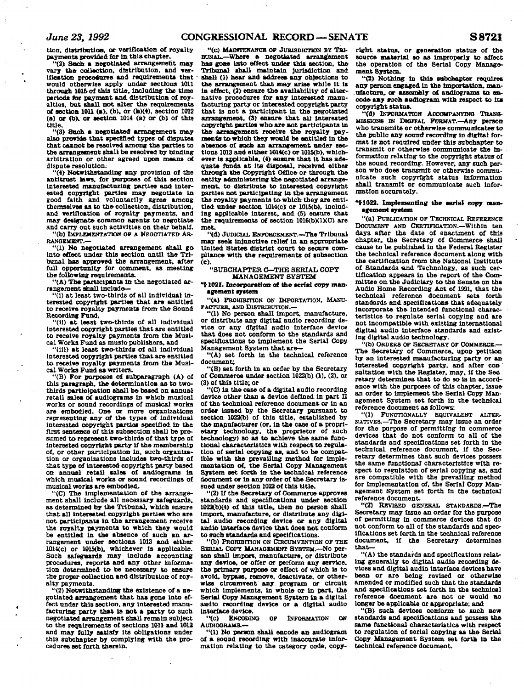tion, distribution, or verification of royalty **payments, provided for In this chapter.** 

**"(2) Sach a negotiated arrangement may vary the collection, distribution, and verification procedures and requirements that' would otherwise apply under sections 1011 through 101& of this title, including the time periods tor payment and distribution of royalties, but shall not alter the requirements of section 1011 (a), (b), or (b)(4), section 1012**<br> **(a) or (b), or section 1014 (a) or (b)** of this **title.** 

**"(3) Such a negotiated arrangement may also provide- that specified types of disputes that cannot be resolved among the parties to the arrangement shall be resolved by binding arbitration or other agreed upon means of dispute resolution.** 

**"(4) Notwithstanding any provision of the antitrust laws, for purposes of this section interested manufacturing parties and interested copyright parties may negotiate in good faith and voluntarily agree among themselves as to the collection, distribution, and verification of royalty payments, and may designate common agents to negotiate and carry out such activities on their behalf. "(b) IMPLEMENTATION OP A NEGOTIATED AR-**

**RANGEMENT.— "(1) No negotiated arrangement shall go into effect under this section until the Tribunal has approved the arrangement, after full opportunity for comment, as meeting** 

**the following requirements. "(A) Tbe participants in the negotiated arrangement shall include—** 

**"(1) at least two-thirds of all individual Interested copyright parties that are entitled to receive royalty payments from the Sound Recording Fund,** 

**"(11) at least two-thirds of all individual Interested copyright parties that are entitled to receive royalty payments from the Musical Works Fund as music publishers, and** 

**"(Hi) at least two-thirds of all Individual interested copyright parties that are entitled to receive royalty payments from the Musical Works Fund as writers.** 

**"(B) For purposes of subparagraph (A) of this paragraph, the determination as to twothirds participation shall be based on annual retail sales of audiograms in which musical works or sound recordings of musical works are embodied. One or more organizations representing any of the types of individual interested copyright parties specified In the first sentence of this subsection shall be presumed to represent two-thirds of that type of interested copyright party If the membership of, or other participation In, such organisation or organizations includes two-thirds of that type of interested copyright party based on annual retail sales of audiograms in which musical works or sound recordings of musical works are embodied.** 

**"(C) The Implementation of the arrangement shall Include all necessary safeguards, as determined by the Tribunal, which ensure that all Interested copyright parties who are not participants in the arrangement receive the royalty payments to which they would be entitled in the absence of such an arrangement under sections 1013 and either 1014(c) or 1015(b). whichever is applicable. Such safeguards may include accounting procedures, reports and any other information determined to be necessary to ensure the proper collection and distribution of royalty payments.** 

**"(2) Notwithstanding the existence of a negotiated arrangement that has gone into effect under this section, any Interested manufacturing; party that la not a party to such negotiated arrangement shall remain subject to the requirements of sections 1011 and 1012 and may fully satisfy Its obligations under this subchapter by complying with the procedures set forth therein.** 

**"(C) MAnfTEKAMCB. OF JURISDICTION BY TRI-BUNAL.—Where a negotiated arrangement has gone into effect under this section, the Tribunal shall maintain Jurisdiction and shall (1) bear and address any objections to the arrangement that may arise while It Is in effect. (2) ensure the availability of alternative procedures for any Interested manufacturing party or Interested copyright party that is not a participant in the negotiated arrangement, (3> ensure that all interested copyright parties who are not participants in**  the arrangement receive the royalty pay**ments to which they would be entitled in the**  absence of such an arrangement under sec**tions 1013 and either 1014(c) or 1015(b). whichever is applicable. (4) ensure that it has adequate funds at its disposal, received either through the Copyright Office or through the entity administering the negotiated arrangement, to distribute to Interested copyright parties not participating in the arrangement**  the royalty payments to which they are enti**tled under section 1014(c) or 1015(b), Including applicable interest, and (5) ensure that**  the requirements of section 1016(b)(1)(C) are **met.** 

**"(d) JUDICIAL ENFORCEMENT.—The Tribunal may seek Injunctive relief In an appropriate United States district court to secure compliance with the requirements of subsection (c).** 

#### **"SUBCHAPTER C—THE SERIAL. COPT MANAGEMENT SYSTEM**

#### **"51021. Incorporation of the serial copy management system**

**"(a) PROHIBITION ON IMPORTATION. MANU-FACTURE. AND DISTRIBUTION.—** 

**"(1) No person shall import, manufacture, or distribute any digital audio recording device or any digital audio Interface device that does not conform to the standards and specifications to implement the Serial Copy Management System that are—** 

**"(A) set forth in the technical reference document;** 

**"(B) set forth In an order by the Secretary of Commerce under section 1022(b) (1), (2), or (3> of this title; or** 

**"(C) in the case of a digital audio recording**  device other than a device defined in part II **of tha technical reference document or in an order Issued by the Secretary pursuant to section 1022(b) of this title, established by the manufacturer (or, in the case of a proprietary technology, the proprietor of such technology) so as to achieve the same functional characteristics with respect to regulation of serial copying as, and to be compatible with the prevailing method for implementation of. the Serial Copy Management System set forth In the technical reference document or In any order of the Secretary issued under section 1022 of this title.** 

**"(2) If the Secretary of Commerce approves standards and specifications under section 1022(b)(4) of this title, then no person shall Import, manufacture, or distribute any digital audio recording device or any digital audio interface device that does not conform to such standards and specifications.** 

**"(b) PROHIBITION ON CIRCUMVENTION OF THE**  SERIAL COPY MANAGEMENT SYSTEM.<sup>-No</sup> per**son shall import, manufacture, or distribute any device, or offer or perform any service, the primary purpose or effect of which is to avoid, bypass, remove, deactivate, or otherwise circumvent any program or circuit which Implements, in whole or in part, the Serial Copy Management System in a digital audio recording device or a digital audio interface device.** 

**"(c) ENCODING OF INFORMATION ON AUDIOGRAMS.—** 

**"(1) No person shall encode an audiogram of a sound recording with Inaccurate information relating to the category code, copy-** **right status, or generation status of the source material so aa improperly to affect the operation of the Serial Copy Management System.** 

**"(2) Nothing in this subchapter requires any person engaged in the importation, man**ufacture, or assembly of audiograms to en**code aay such audiogram with respect to its copyright status.** 

**"(d) INFORMATION ACCOMPANYTNO TRANS-MISSIONS n\* DIGITAL FORMAT.—Any person who transmits or otherwise communicatee to the public any sound recording in digital for**mat is not required under this subchapter to **transmit or otherwise communicate the information relating to the copyright status of the sound recording. However, any such person who does transmit or otherwise communicate such copyright status Information shall transmit or communicate such Information accurately.** 

#### **"51022. Implementing the aerial copy management system**

**"(a) PUBLICATION OF TECHNICAL REFERENCE DOCUMENT AND CERTIFICATION.—Within ten days after the date of enactment of this chapter, the Secretary of Commerce shall cause to be published in the Federal Register the technical reference document along with the certification from the National Institute of Standards-and Technology, as such certification appears in the report of the Committee on the Judiciary to the Senate on the Audio Home Recording Act of 1991, that the technical reference document sets forth standards and specifications that adequately Incorporate the intended functional characteristics to regulate serial copying and are not Incompatible with existing international digital audio Interface standards and existing digital audio technology.** 

**"(b) ORDERS OF SECRETARY or COMMERCE.— The Secretary of Commerce, upon petition by an interested manufacturing party or an**  interested copyright party, and after con**sulfation with the Register, may. if the Sec retary determines that to do so is In accordance with the purposes of this chapter, issue an order to implement the Serial Copy Management System set forth in the technical reference document as follows:** 

**"(1) FUNCTIONALLY EQUIVALENT ALTERA NATIVES.—The Secretary may Issue an order for the purpose of permitting in commerce devices that do not conform to all of the standards and specifications set forth in the technical reference document, if the Secretary determines that such devices possess the same functional characteristics with respect to regulation of serial copying as, and are compatible with the prevailing method for implementation of, the Serial Copy Management System set forth In the technical reference document.** 

"(2) REVISED GENERAL STANDARDS.-**Secretary may issue an order for the purpose of permitting In commerce devices that do not conform to all of the standards and specifications set forth In the technical reference document, if the Secretary determines that—** 

**"(A) the standards and specifications relating generally to digital audio recording devices and digital audio interface devices have been or are being revised or otherwise amended or modified such that the standards and specifications set forth in tha technical reference document are not or would no longer be applicable or appropriate; and** 

**"(B) such devices conform to such new standards and specifications and possess the same functional characteristics with respect to regulation of serial copying as the Serial Copy Management System set forth in the technical reference document.**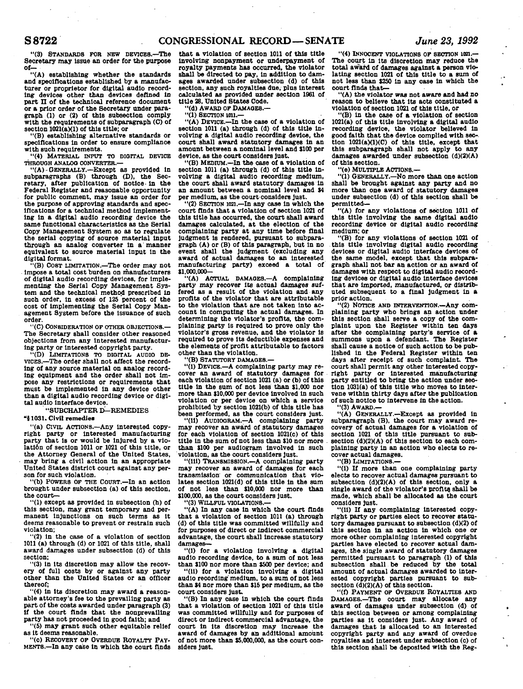### **S8722 CONGRESSIONAL RECORD—SENATE** *June 23, 1992*

**"(3) STANDARDS FOR NEW DEVICES.—The Secretary may issue an order for the purpose of—** 

**"(A) establishing whether the standards and specifications established by a manufacturer or proprietor for digital audio recording devices other than devices defined in**  part II of the technical reference document **or a prior order of the Secretary under paragraph (1) or (2) of this subsection comply with the requirements of subparagraph (C) of**  section  $1021(a)(1)$  of this title; or

**"(B) establishing alternative standards or specifications In order to ensure compliance with such requirements.** 

**"(4) MATERIAL OIFUT TO DIGITAL DEVICE THROUGH ANALOG CONVERTER.—** 

**"(A)-GENERALLY.—Except as provided in subparagraphs (B) through (D), the Secretary, after publication of notice- in the Federal Register and reasonable opportunity for public comment, may issue an order for the purpose of approving standards and specifications for a technical method Implementing in a digital audio recording device the same functional characteristics as the Serial Copy Management System so as to regulate the serial copying of source material input through an analog converter in a'manner equivalent to source material input in the digital format.** 

**"(B) C08T LIMITATION.—The order may not Impose a total cost burden on manufacturers of digital audio recording devices, for Implementing the Serial Copy Management System and the technical method prescribed in such order, in excess of 125 percent of the cost of implementing the Serial Copy Management System before the Issuance of such order.** 

**"(C) CONSIDERATION OF OTHER OBJECTIONS — The Secretary shall consider other reasoned objections from any Interested manufacturing party or Interested copyright party.** 

**"(D) LIMITATIONS TO DIGITAL AUDIO DE-VICES.—The ordqr shall not affect the recording of any source material on analog recording equipment and the order shall not Impose any restrictions or requirements that must be Implemented in any device other than a digital audio recording device or digital audio Interface device.** 

**"SUBCHAPTER D—REMEDIES** 

#### **"51031. Civil remediea**

**"(a) CIVIL ACTIONS.—Any Interested copyright party or Interested manufacturing party that Is or would be injured by a violatlon of section 1011 or 1021 of this title, or the Attorney General of the United States, may bring a civil action in an appropriate United States district court against any person for such violation.** 

**"(b) POWERS OF THE COURT.—In an action brought under subsection (a) of this section, the court—** 

**"(1) except as provided in subsection (h) of this section, may grant temporary and permanent Injunctions on such terms as it deems reasonable to prevent or restrain such violation;** 

**"(2) in the case of a violation of section 1011 (a) through (d) or 1021 of this title, shall award damages under subsection (d) of this section;** 

**"(3) In its discretion may allow the recovery of full costs by or against any party other than the United States or an officer thereof;** 

**"(4) in its discretion may award a reasonable attorney's fee to the prevailing party as part of the costs awarded under paragraph (3) If the court finds that the nonprevalling party has not proceeded in good faith; and** 

**"(5) may grant such other equitable relief as It deems reasonable.** 

**"(c) RECOVERY OF OVERDUE ROYALTY PAY-MENTS.—In any case in which the court finds**  **that a violation of section 1011 of this title involving nonpayment or underpayment of royalty payments has occurred, the violator shall be directed to pay, in addition to dam-ages awarded under subsection (d) of this section, any such royalties due, plus interest calculated as provided under section 1961 of title 28, United States Code.** 

**"(d) AWARD OF DAMAGES.—** 

**"(l) SECTION ion.—** 

**"(A) DEVICE.—In the case of a violation of section 1011 (a) through (d) of this title Involving a digital audio recording device, the court shall award statutory damages In an amount between a nominal level and \$100 per device, as the court considers Just.** 

**"(B) MEDruM.—In the case of a violation of section 1011 (a) through (d) of this title Involving a digital audio recording medium, the court shall award statutory damages In an amount between a nominal level and J4 per medium, as the court considers Just.** 

**"(2) SECTION 1021.—In any case In which the court finds that a violation of section 1021 of this title has occurred, the court shall award damages calculated, at the election of the complaining party at any time before final Judgment is rendered, pursuant to subparagraph (A) or (B) of this paragraph, but in no event shall the Judgment (excluding any award of actual damages to an interested manufacturing party) exceed a total of \$1,000,000—** 

**"(A) ACTUAL DAMAGES.—A complaining party may recover Its actual damages suffered as a result of the violation and any profits of the violator that are attributable to the violation that are not taken into account in computing the actual damages. In determining the violator's profits, the complaining party Is required to prove only the violator's gross revenue, and the violator is required to prove Its deductible expenses and the elements of profit attributable to factors other than the violation.** 

**"(B) STATUTORY DAMAOES.—** 

**"(1) DEVICE.—A complaining party may recover an award of statutory damages for each violation of section 1021 (a) or (b) of this title in the sum of not less than \$1,000 nor more than \$10,000 per device Involved in such violation or per device on which a service prohibited by section 1021(b) of this title has been performed, as the court considers Just.** 

**"(11) AUDIOGRAM.—A complaining party may recover an award of statutory damages for each violation of section 1021(c) of this**  title in the sum of not less than \$10 nor more **than \$100 per audiogram Involved in such violation, as the court considers Just.** 

**"(ill) TRANSMISSION.—A complaining party may recover an award of damages for each transmission or communication that violates section 1021(d) of this title in the sum of not less than 110,000 nor more than \$100,000, as the court considers Just.** 

**"(3) WILLFUL VIOLATIONS.—** 

**"(A) In any case in which the court finds that a violation of section 1011 (a) through (d) of this title was committed willfully and for purposes of direct or indirect commercial advantage, the court shall Increase statutory damages—** 

**"(1) for a violation involving a digital audio recording device, to a sum of not less than \$100 nor more than \$500 per device; and** 

**"(11) for a violation involving a digital audio recording medium, to a sum of not less than \$4 nor more than \$15 per medium, as the court considers just.** 

**"(B) In any case in which the court finds that a violation of section 1021 of this title was committed willfully and for purposes of direct or indirect commercial advantage, the court in Its discretion may increase the award of damages by an additional amount of not more than \$5,000,000, as the court considers Just.** 

**"(4) INNOCENT VIOLATIONS OF SECTION 10a.— The court in Its discretion may reduce the total award of damages against a person violating section 1021 of this title to a sum of not less than \$250 in any case in which the court finds that—** 

**"(A) the violator was not aware and had no reason to believe that Its acts constituted a violation of section 1021 of this title, or** 

**"(B) In the case of a violation of section 1021(a) of this title Involving a digital audio recording device, the violator believed in good faith that the device complied with sec**tion 1021(a)(1)(C) of this title, except that **this subparagraph shall not apply to any damages awarded under subsection (d)(2)(A) of this section.** 

**"(e) MULTIPLE ACTIONS.—** 

**"(1) GENERALLY.—No more than one action shall be brought against any party and no more than one award of statutory damages under subsection (d) of this section shall be permitted—** 

**"(A) for any violations of section 1011 of this title Involving the same digital audio recording device or digital audio recording medium; or** 

**"(B) for any violations of section 1021 of this title involving digital audio recording devices or digital audio Interface devices of the same model, except that this subparagraph shall not bar an action or an award of damages with respect to digital audio recording devices or digital audio Interface devices that are imported, manufactured, or distributed subsequent to a final Judgment in a prior action.** 

"(2) NOTICE AND INTERVENTION. - Any com**plaining party who brings an action under this section shall serve a copy of the complaint upon the Register within ten days after the complaining party's service of a summons upon a defendant. The Register shall cause a notice of such action to be published in the Federal Register within ten days after receipt of such complaint. The court shall permit any other Interested copyright party or Interested manufacturing party entitled to bring the action under section 1031(a) of this title who moves to Intervene within thirty days after the publication of such notice to intervene in the action.** 

**"(3) AWARD.—** 

**"(A) GENERALLY.—Except as provided in subparagraph (B), the court may award recovery of actual damages for a violation of section 1021 of this title pursuant to subsection (d)(2)(A) of this section to each complaining party in an action who elects to recover actual damages.** 

**"(B) LIMITATIONS.—** 

**"(1) If more than one complaining party elects to recover actual damages pursuant to subsection (d)(2)(A) of this section, only a**  single award of the violator's profits shall be **made, which shall be allocated as the court considers just.** 

**"(11) If any complaining Interested copyright party or parties elect to recover statutory damages pursuant to subsection (d)(2) of this section in an action in which one or more other complaining interested copyright parties have elected to recover actual damages, the single award of statutory damages permitted pursuant to paragraph (1) of this subsection shall be reduced by the total amount of actual damages awarded to interested copyright parties pursuant to subsection (d)(2)(A) of this section.** 

**"(f) PAYMENT OF OVERDUE ROYALTIES AND DAMAGES.—The court may allocate any award of damages under subsection (d) of this section between or among complaining parties as it considers just. Any award of damages that is allocated to an interested copyright party and any award of overdue royalties and Interest under subsection (c) of this section shall be deposited with the Reg-**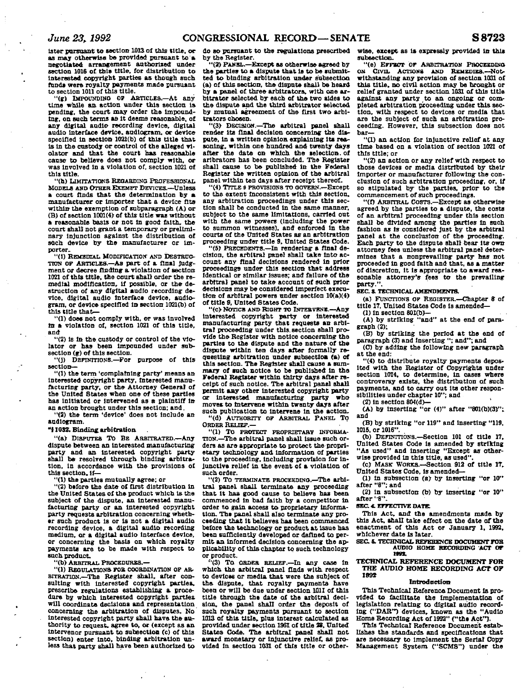**later pursuant to section 1013 of this title, ocas may otherwise be provided pursuant to a negotiated arrangement authorized under**  section 1016 of this title, for distribution to **Interested copyright parties as though such funds were royalty payments made pursuant to section 1011 of this title.** 

**"(g) IMPOUNDING OP ARTICLES.—At any time while an. action under this section la pending, the court may order the impound-ing, on such terms aa it deems reasonable, of any digital audio recording device, digital audio interface device, audiogram, or device specified In section 1021(b) of this title that is in the custody or control of the alleged violator and that the court has reasonable cause to believe does not comply with, or was Involved in a violation of, section 1021 of this title.** 

**"(h) LIMITATIONS REGARDING PROFESSIONAL MODELS AND OTHER EXEMPT DEVICES.—Unless a court finds that the determination by a manufacturer or Importer that a device fits within the exemption of subparagraph (A) or (B) of section 1001(4) of this title was without a reasonable basis or not In good faith, the court shall not grant a temporary or preliminary injunction against the distribution of**  such device by the manufacturer or im**porter.** 

**"(1) REMEDIAL. MODIFICATION' AND DESTRUC-TION OF ARTICLES.—AS part of a final Judgment or decree finding- a violation of section 1021 of this title, the court shall order the remedial modification, if possible, or the destruction of any digital audio recording device, digital audio Interface device, audiogram, or device specified in section 1021(b) of this title that-**

**'ll) does not comply with, or was Involved to a violation of, section 1021 of this title, and** 

**"(2) Is In the custody or control of the violator or has been impounded under subsection (g) of this section.** 

**"(j) DEFINITIONS.—For purpose of this section—** 

**"(1) the term 'complaining party' means an Interested copyright party. Interested manufacturing party, or the Attorney General of the United States when one of these parties has Initiated or Intervened as a plaintiff in an action brought under this section; and.** 

**"(2) the term 'device' does not include an audiogram.** 

**"11032. Binding: arbitration** 

**"(a) DISPUTES TO BE ARBITRATED.—Any dispute between an Interested manufacturing party and an Interested copyright party shall be resolved through binding arbitration, in accordance with the provisions of this section. if—** 

**"(1) the parties mutually agree; or** 

**"(2) before the date of first distribution In the United States of the product which Is the subject of the dispute, an interested manufacturing party or an interested copyright party requests arbitration concerning whether such product is or Is not a digital audio recording device, a digital audio recording medium, or a digital audio interface device, or concerning the basis on which royalty payments are to be made with respect to such product.** 

**"(b> ARBITRAL PROCEDURES.—** 

**"(1) REGULATIONS FOR COORDINATION OF AR-BITRATION.—The Register shall, after consulting with interested copyright parties, prescribe regulations establishing a procedure by which interested copyright parties, will coordinate decisions and representation concerning the arbitration of disputes. No interested copyright party shall have the authority to request, agree to, or (except as an intervenor pursuant to subsection (c) of this section) enter into, binding arbitration un-less that party shall have been authorized to** 

**do so pursuant to the regulations prescribed by the Register.** 

**"(2) PANEL.—Except as otherwise agreed by the parties to a dispute that is to be submitted to binding arbitration under subsection (a) of this section, the- dispute shall be heard by a panel of three arbitrators, with one ar**bitrator selected by each of the two sides to **the dispute and the third arbitrator selected by mutual agreement of the first two arbitrators chosen.** 

**"(3) DECISION.—The arbitral panel shall render its final decision concerning the dispute. In a written opinion explaining Its reasoning, within one hundred and twenty days after the date on which the selection, of arlbrators has been concluded. The Register shall cause to be published in the Federal Register the written opinion of the arbitral panel within ten days after receipt thereof.** 

**"(4) TITLE 9 PROVISIONS TO GOVERN.—Except to the extent Inconsistent with this section, any arbitration proceedings under this section shall be conducted in the same manner, subject to the same limitations, carried out with the same powers (including the power to summon witnesses), and enforced in the courts of the United States as an arbitration proceeding under title 9. United States Code.** 

**"(5) PRECEDENTS.—In rendering a final decision, the arbitral panel shall take Into account any final decisions rendered In prior proceedings under this section that address Identical or similar issues; and failure of the arbitral panel to take account of such prior decisions may be considered Imperfect execution of arbitral powers under section 10(a)(4) of title** *9,* **United States Code.** 

**"(c) None s AND RIGHT TO INTERVENE.—Any Interested copyright party or interested manufacturing party that requests an arbitral proceeding under this, section shall provide the Register with notice concerning the parties to the dispute and the nature of the dispute within ten days after formally requesting arbitration under subsection (a) of this section. The Register shall cause a summary of such notice to be published In the Federal Register within thirty days after receipt of such notice. The arbitral panel shall permit any other interested copyright party or interested manufacturing party who moves to Intervene within twenty days after such publication to Intervene in the action. "(d) AUTHORITY OF ARBITRAL PANEL To** 

**ORDER RELIEF.— "(1) TO PROTECT PROPRIETARY INFORMA-**

**TION.—The arbitral panel shall issue such orders as are appropriate to protect the proprietary technology and Information of parties to the proceeding, including provision for injunctive relief in the event of a violation of such order.** 

**"(2) To TERMINATE PROCEEDING.—The arbitral panel shall terminate any proceeding that it has good cause to believe has been commenced in bad faith by a competitor In order to gain, access to proprietary information. The panel shall also terminate any proceeding that It believes has been commenced**  before the technology or product at issue has **bees sufficiently developed or defined to permit an Informed decision concerning the applicability of this chapter to such technology or product.** 

**''(3) To ORDER RELIEF.—In any case In which the arbitral panel finds with respect to devices or media that were the subject of the dispute, that royalty payments have been or will be due under section 1011 of this title through the date of the arbitral decision, the panel shall order the deposit of such royalty payments pursuant to section 1013 of this title, plus Interest calculated as provided under section 1961 of title 28. United**  States Code. The arbitral panel shall not **award monetary or injunctive relief, as provided In section 1031 of this title or other-** wise, except as is expressly provided in this **subsection.** 

**"(e) EFFECT or ARBITRATION PROCEEDING, ON CIVIL ACTIONS AND REMEDIES.—Notwithstanding any provision of section 1031 of this title, no civil action may be brought or relief granted under section 1031 of this title against any party to an ongoing or completed arbitration proceeding under this section, with respect to devices or media that are the subject of such an arbitration proceeding. However, this subsection does not bar—** 

**"(1) an action for injunctive relief at any time based on a violation of section 1021 of this title; or** 

**"(2) an action or any relief with respect to those devices or media distributed by their Importer or manufacturer following the conclusion of such arbitration proceeding, or, if so stipulated by the parties, prior to the commencement of such proceedings.** 

**"(f) ARBITRAL COSTS.—Except as otherwise agreed by the parties to a dispute, the costs of an arbitral proceeding under this section shall be divided among the parties In such fashion as is considered Just by the arbitral pane) at the conclusion of the proceeding. Each party to the dispute shall bear its own attorney fees unless the arbitral panel determines that a nonprevailing party has not proceeded in good faith and that, as a matter of discretion, it Is appropriate to award reasonable attorney's fees to the prevailing party.".** 

**SEC. 3. TECHNICAL AMENDMENTS.** 

**(a) FUNCTIONS OF REGISTER.—Chapter** *8* **of title 17, United States Code Is amended—** 

**(1) In section 801(b)- (A) by striking "and" at the end of paragraph (2):** 

**(B) by striking the period at the end of paragraph (3) and Inserting "; and"; and** 

**(C) by adding the following new paragraph at the end:** 

**"(4) to distribute royalty payments deposited with the Register of Copyrights under section 1014, to determine, in cases where controversy exists, the distribution of such payments, and to carry out its other responsibilities under chapter 10"; and** 

**(2) in section 804(d)—** 

**(A) by Inserting "or (4)" after "801(b)(3)";. and** 

**(B) by striking "or 119" and inserting- "119, 1015, or 1016".** 

**(b) DEFiNrnoNS.—Section 101 of title 17. United States Code Is amended by striking "As used" and inserting "Except as other**wise provided in this title, as used'

**(c) MASK WORKS.—Section 912 of title 17,** 

**United States Code, is amended— (1) in subsection (a) by Inserting "or 10" after "8"; and** 

**(2) in subsection (b) by inserting "or 10" after''8".** 

**SEC.** *4.* **EFFECTIVE DATE.** 

**This Act. and the amendments made by this Act. shall take effect on the date of the enactment of this Act or January 1. 1992. whichever date is later.** 

**SEC. S. TECHNICAL REFERENCE DOCUMENT FOR AUDIO HOME RECORDING ACT OF IMS.** 

#### **TECHNICAL REFERENCE DOCUMENT FOR THE AUDIO HOME RECORDING ACT OF 1892**

**Introduction** 

**This Technical Reference. Document Is provided to facilitate the Implementation of legislation relating to digital audio recording ("DAR") devices, known as the "Audio Home Recording Act of 1992" ("the Act").** 

**This Technical Reference Document establishes the standards and specifications that are necessary to Implement the Serial Copy Management System C'SCMS") under the**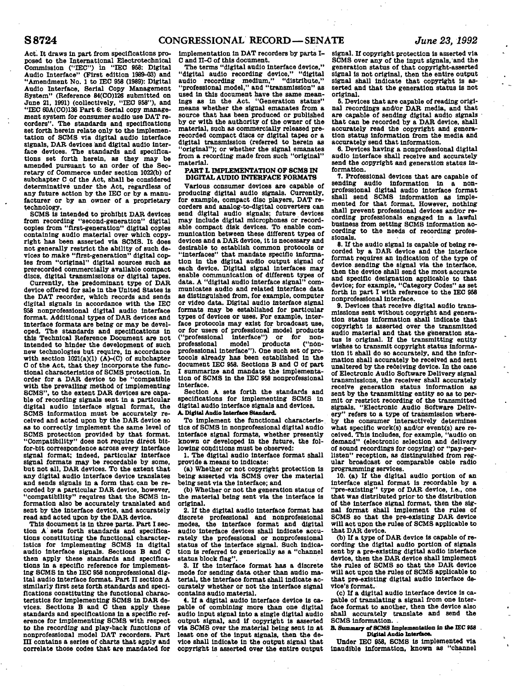**Act. It draws In part from specifications proposed to the International Electrotechnlcal Commission ("IEC") In "ISO 958: Digital Audio Interface" (First edition 1989-03) and "Amendment No. 1 to IEC 958 (1989): Digital Audio Interface, Serial Copy Management System" (Reference B4(CO)128 submitted on June 21, 1991) (collectively, "IEC 958"), and "IEC 60A(CO)136 Part 6: Serial copy management system for consumer audio use DAT recorders". The standards and specifications set forth herein relate only to the Implementation of SCMS via digital audio Interface signals, DAR devices and digital audio Interface devices. The standards and specifications set forth herein, as they may be amended pursuant to an order of the Secretary of Commerce under seotlon 1022(b) of subchapter C of the Act, shall be considered determinative under the Act, regardless of any future action by the IEC or by a manufacturer or by an owner of a proprietary technology.** 

**SCMS is Intended to prohibit DAR devices from recording "second-generation" digital copies from "first-generation" digital copies containing audio material over which copyright has been asserted via SCMS. It does not generally restrict the ability of such devices to make "first-generation" digital copies from "original" digital sources such as prerecorded commercially available compact discs, digital transmissions or digital tapes.** 

**Currently, the predominant type of DAR device offered for sale in the United States is the DAT recorder, which records and sends digital signals In accordance with the IEC 958 nonprofessional digital audio interface format. Additional types of DAR devices and Interface formats are being or may be developed. The standards and specifications in this Technical Reference Document are not intended to hinder the development of such new technologies but require, In accordance**  with section 1021(a)(1) (A)-(C) of subchapter **C of the Act, that they incorporate the functional characteristics of SCMS protection. In order for a DAR device to be "compatible with the prevailing method of implementing SCMS", to the extent DAR devices are capable of recording signals sent In a particular digital audio Interface signal format, the SCMS information must be accurately received and acted upon by the DAR device so as to correctly implement the same level of SCMS protection provided by that format. "Compatibility" does not require direct bltfor-bit correspondence across every Interface signal format; Indeed, particular Interface signal formats may be recordable by some, but not all, DAR devices. To the extent that any digital audio Interface device translates and sends signals in a form that can be recorded by a particular DAR device, however, "compatibility" requires that the SCMS Information also be accurately translated and sent by the Interface device, and accurately read and acted upon by the DAR device.** 

**This document Is in three parts. Part I section A' sets forth standards and specifications constituting the functional characteristics for Implementing SCMS In digital audio interface signals. Sections B and C then apply these standards and specifications In a specific reference for Implementing SCMS In the IEC 958 nonprofessional dig**ital audio interface format. Part II section A **similarly first sets forth standards and specifications constituting the functional characteristics for Implementing SCMS in DAR devices. Sections B and C then apply these standards and specifications in a specific reference for Implementing SCMS with respect to the recording and play-back functions of nonprofessional model DAT recorders. Part in contains a series of charts that apply and correlate those codes that are mandated for**  **Implementation in DAT recorders by parts I-C and n-C of this document.** 

**The terms "digital audio interface device," "digital audio recording device," "digital audio recording medium," "distribute," "professional model," and "transmission" as used in this document have the same meanings as in the Act. "Generation status" means whether the signal emanates from a source that has been produced or published by or with the authority of the owner of the material, such as commercially released prerecorded compact discs or digital tapes or a digital transmission (referred to herein as "original"); or whether the signal emanates from a recording made from such "original" material.** 

#### **PART L IMPLEMENTATION OF SCMS IN DIGITAL AUDIO INTERFACE FORMATS**

**Various consumer devices are capable of** <br> **producing digital and** <br> **producing digital and** <br> **producing digital and** <br> **producing digital and** <br> **producing digital and** producing digital audio signals. Currently, for example, compact disc players, DAT recorders and analog-to-digital converters can send digital audio signals; future devices may include digital microphones or recordable compact disk devices. To enable communication between these different types of devices and a DAR device, it is necessary and desirable to establish common protocols or "interfaces" that mandate specific information in the digital audio output signal of each device. Digital signal interfaces may enable communication of different types of data. A "digital audio interface signal" communicates audio and related interface data as distinguished from, for example, computer or video data. Digital audio interface signal formats may be established for particular types of devices or uses. For example, interface protocols may exist for broadcast use, or for users of professional model products **professional model products ("non-professional Interface"). One such set of pro**professional model products ("non-<br>professional interface"). One such set of protocols already has been established in the document IEC 958, Sections B and C of part I summarize and mandate the implementation of SCMS in the IEC 958 nonprofessional interface.

**Section A sets forth the standards and specifications for implementing SCMS In digital audio Interface signals and devices. A. Digital Audio Interface Standard.** 

**To Implement the functional characteristics of SCMS In nonprofessional digital audio Interface signal formats, whether presently known or developed in the future, the following conditions must be observed:** 

**1. The digital audio interface format shall provide a means to indicate:** 

**(a) Whether .or not copyright protection Is being asserted via SCMS over the material being sent via the interface; and** 

**(b) Whether or not the generation status of the material being sent via the interface is original.** 

**2. If the digital audio Interface format has discrete professional and nonprofessional modes, the Interface format and digital audio Interface devices shall Indicate accurately the professional or nonprofessional status of the Interface signal. Such indication is referred to generlcally as a "channel status block flag".** 

**3. If the Interface format has a discrete mode for sending data other than audio material, the Interface format shall Indicate accurately whether or not the Interface signal contains audio material.** 

**4. If a digital audio interface device Is capable of combining more than one digital audio Input signal Into a single digital audio output signal, and if oopyrlght Is asserted via SCMS over the material being sent in at least one of the Input signals, then the devloe shall Indicate in the output signal that copyright Is asserted over the entire output**  **signal. If copyright protection Is asserted via SCMS over any of the input signals, and the generation status of that copyright-asserted signal is not original, then the entire output signal shall Indicate that copyright Is asserted and that the generation status Is not original.** 

**6. Devices that are capable of reading original recordings and/or DAR media, and that are capable of sending digital audio signals that can be recorded by a DAR device, shall accurately read the copyright and generation status information from the media and accurately send that information.** 

**6. Devices having a nonprofessional digital audio Interface shall receive and accurately send the copyright and generation status information.** 

**7. Professional devices that are capable of sending audio Information in a nonprofessional digital audio interfaoe format shall send SCMS information as implemented for that format. However, nothing shall prevent professional devices and/or recording professionals engaged in a lawful business from setting SCMS Information according to the needs of recording professionals.** 

**8. If the audio signal Is capable of being recorded by a DAR device and the Interface format requires an Indication of the type of device sending the signal via the Interface, then the device shall send the most accurate and specific designation applicable to that device; for example, "Category Codes" as set forth In part I with reference to the IEC 958 nonprofessional Interface.** 

**9. Devices that receive digital audio transmissions sent without copyright and generation status information shall indicate that copyright is asserted over the transmitted audio material and that the generation status is original. If the transmitting entity wishes to transmit copyright status Information it shall do so accurately, and the information shall accurately be received and sent unaltered by the receiving device. In the case of Electronic Audio Software Delivery signal transmissions, the receiver shall accurately receive generation status Information as sent by the transmitting entity so as to permit or restrict recording of the transmitted signals. "Electronic Audio Software Delivery" refers to a type of transmission whereby the consumer Interactively determines what specific work(s) and/or event(s) are received. This Includes, for example, "audio on demand" (electronic selection and delivery of sound recordings for copying) or "pay-perllsten" reception, as distinguished from regular broadcast or oomparable cable radio programming services.** 

**10. (a) If the digital audio portion of an Interface signal format is recordable by a "pre-existing" type of DAR device. I.e., one that was distributed prior'to the distribution of the interface signal format, then the signal format shall implement the rules of SCMS so that the pre-existing DAR device will act upon the rules of SCMS applicable to that DAR device.** 

**(b) If a type of DAR device Is capable of recording the digital audio portion of signals sent by a pre-existing digital audio Interface device, then the DAR device shall Implement the rules of SCMS so that the DAR device will act upon the rules of SCMS applicable to that pre-existing digital audio Interface device's format.** 

**(c) If a digital audio interface device is capable of translating a signal from one Interface format to another, then the device also shall accurately translate and send the SCMS information. .** 

**B. Summary of SCMS Implementation in the IEC 988 Digital Audio Interfaoe.** 

**Under IEC 958, SCMS Is Implemented via Inaudible Information, known as "channel**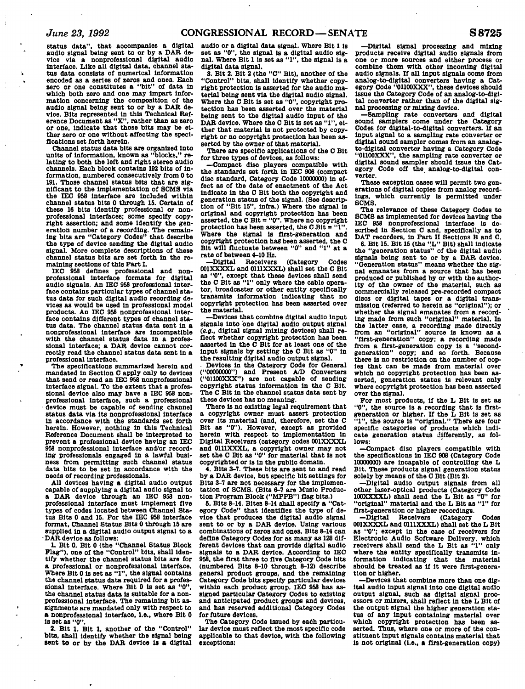$\ddot{\cdot}$ 

**status data", that accompanies a digital audio signal being sent to or by a DAR device via a nonprofessional digital audio interface. Like all digital data, channel status data consists of numerical Information encoded as a series of zeros and ones. Each zero or one constitutes a "bit" of data In which both zero and one may Impart Information ooncernlng the composition of the audio signal being sent to or by a DAR devloe. Bits represented in this Technical Reference Document as "X", rather than as zero or one, Indicate that those bits may be either zero or one without affecting the specifications set forth herein.** 

**Channel status data bits are organized Into**  units of information, known as "blocks." **lating to both the left and right stereo audio channels. Each block contains 192 bits of information, numbered consecutively from 0 to 191. Those channel status bits that are significant to the implementation of SCMS via the IEC 958 Interface are Included within channel status bits 0 through 15. Certain of these 16 bits identify professional or non-professional Interfaces; some specify copyright assertion; and some Identify the generation number of a recording. The remain-ing bits are "Category Codes" that describe the type of device sending the digital audio signal. More complete descriptions of these channel status bits are set forth In the remaining sections of this Part L** 

**IEC 958 defines professional and nonprofessional Interface formats for digital audio signals. An IEO 958 professional Interface contains particular types of channel status data for such digital audio recording devices as would be used in professional model products. An IEC 958 nonprofessional Interface contains different types of channel status data. The channel status data sent In a nonprofessional Interface are Incompatible with the channel status data In a professional Interface; a DAR device cannot correctly read the channel status data sent In a professional Interface.** 

**The specifications summarized herein and mandated in Section C apply only to devices that send or read an IEC 958 nonprofessional Interface signal. To the extent that a professional device also may have a IEC 958 nonprofessional interface, such a professional - device must be capable of sending channel status data via Its nonprofessional Interface In accordance with the standards set forth herein. However, nothing In this Technical Reference Document shall be Interpreted to prevent a professional device having an IEC 958 nonprofessional interface and/or recording professionals engaged In a lawful business from permitting such channel status data bits to be set In accordance with the needs of recording professionals.** 

**All devices having a digital audio output capable of supplying a digital audio signal to a DAR device through an IEC 958 nonprofessional Interface must Implement five types of codes located between Channel Status Bits 0 and 15. For the IEC 958 interface format, Channel Status Bits 0 through 15 are supplied in a digital audio output signal to a - DAR device as follows:** 

**1. Bit 0. Bit 0 (the "Channel Status Block Flag"), one of the "Control" bits, shall Identify whether the channel status bits are for a professional or nonprofessional Interface. Where Bit 0 is set as "1", the signal oontalns the channel status data required for a profes**sional interface. Where Bit 0 is set as "0" **the channel status data Is suitable for a non-professional Interface. The remaining bit assignments are mandated only with respect to a nonprofessional Interface, I.e., where Bit 0 Is set as "0".** 

**2. Bit 1. Bit 1, another of the "Control" bits, shall Identify whether the signal being sent to or by the DAR device Is a digital**  **audio or a digital data signal. Where Bit 1 Is set as "0", the signal Is a digital audio sig-nal. Where Bit 1 is set as "1", the signal Is a digital data signal.** 

**3. Bit 2. Bit 2 (the "C" Bit), another of the "Control" bits, shall Identify whether copyright protection is asserted for the audio material being sent via the digital audio signal. Where the C Bit Is set as "0", copyright protection has been asserted over the material being sent to the digital audio Input of the DAR device. Where the O Bit is set as "1", either that material Is not protected by copyright or no copyright protection has been asserted by the owner of that material.** 

**There are speclflo applications of the O Bit for three types of devices, as follows:** 

**—Compact disc players compatible with the standards set forth In IEC 908 (compact disc standard. Category Code 10000000) in effect as of the date of enactment of the Act Indicate in the O Bit both the copyright and generation status of the signal. (See description of "Bit 15", Infra.) Where the signal is original and copyright protection has been asserted, the C Bit = "0". Where no copyright protection has been asserted, the C Bit = "1". Where the signal Is first-generation and copyright protection has been asserted, the C Bit will fluctuate between "0" and "1" at a rate of between 4-10 Hz.** 

**—Digital Receivers (Category Codes 001XXXXL and 0111XXXL) shall set the C Bit as "0", except that these devices shall send the C Bit as "1" only where the cable operator, broadcaster or other entity specifically transmits Information indicating that no copyright protection has been asserted over the material.** 

**—Devices that combine digital audio Input signals Into one digital audio output signal**  *{e.g..* **digital signal mixing devices) shall reflect whether copyright protection has been asserted In the C Bit for at least one of the Input signals by setting the C Bit as "0" In the resulting digital audio output signal.** 

**. Devices In the Category Code for General ("00000000") and Present A/D Converters ("01100XXX") are not capable of sending copyright status Information in the C Bit. The C Bit In the channel status data sent by these devices has no meaning.** 

**There Is no existing legal requirement that a copyright owner must assert protection over Its material (and, therefore, set the C Bit as "0"). However, except as provided herein with respect to Implementation in Digital Receivers (category codes 001XXXXL and 0111XXXL, a copyright owner may not set the C Bit as "0" for material that is not copyrighted or is In the public domain.** 

**4. Bits 3-7. These bits are sent to and read by a DAR device, but specific bit settings for Bits 3-7 are not necessary for the Implementation of SCMS. (Bits 6-7 are Music Production Program Block ("MPPB") flag bits.)** 

**6. Bits 8-14. Bites 8-14 shall specify a "Category Code" that Identifies the type of device that produces the digital audio signal sent to or by a DAR device. Using various combinations of zeros and ones. Bits 8-14 can define Category Codes for as many as 128 different devices that can provide digital audio signals to a DAR device. According to IEC 958, the first three to five Category Code bits (numbered Bits 8-10 through 8-12) describe general product groups, and the remaining Category Code bits specify particular devices within each product group. IEC 958 has assigned particular Category Codes to existing and anticipated product groups and devices, and has reserved additional Category Codes for future devices.** 

**The Category Code Issued by each particular device must reflect the most specific code applicable to that device, with the following exceptions:** 

**—Digital signal processing and mixing products receive digital audio signals from one or more sources and either process or combine them with other Incoming digital audio signals. If all Input signals come from analog-to-dlgltal converters having a Category Code "01100XXX", these devices should Issue the Category Code of an analog-to-dlgltal converter rather than of the digital signal processing or mixing device.** 

**—Sampling rate converters and digital sound samplers come under the Category Codes for dlgltal-to-dlgltal converters. If an Input signal to a sampling rate converter or digital sound sampler comes from an analogto-dlgltal converter having a Category Code "01100XXX", the sampling rate converter or digital sound sampler should issue the Category Code off the analog-to-dlgltal converter.** 

**These exception cases will permit two generations of digital copies from analog recordings, which currently Is permitted under SCMS.** 

**The relevanoe of these Category Codes to SCMS as implemented for devices having the IEC 958 nonprofessional Interface is described in Section C and, specifically as to DAT recorders, In Part H Sections B and C.** 

**6. Bit 15. Bit 15 (the "L" Bit) shall Indicate the "generation status" of the digital audio signals being sent to or by a DAR device. "Generation status" means whether the signal emanates from a source that has been produced or published by or with the authority of the owner of the material, such as commercially released pre-recorded compact discs or digital tapes or a digital transmission (referred to herein as "original"); or whether the signal emanates from a recording made from such "original" material. In the latter oase, a recording made directly from an "original" source is known as a "first-generation" copy; a recording made**  from a first-generation copy is a "second-generation" copy; and so forth. Because there is no restriction on the number of cop**ies that can be made from material over which no copyright protection has been asserted, generation status is relevant only where copyright protection has been asserted over the signal.** 

**For most products, If the L Bit is set as "0", the source is a recording that Is firstgeneration or higher. If the L Bit is set as "1", the source Is "original." There are four specific categories of products which indicate generation status differently, as follows:** 

**—Compact disc players compatible with the specifications in IEC 908 (Category Code 10000000) are Incapable of controlling the L Bit. These products signal generation status solely by means of the C Bit (Bit 2).** 

**—Digital audio output signals from all other laser-optical products (Category Code 100XXXXL) shall send the L Bit as "0" for "original" material and the L Bit as "1" for first-generation or higher recordings.** 

**—Digital Receivers (Category Codes 001XXXXL and 0111XXXL) shall set the L Bit as "0"; except In the case of receivers for Electronic Audio Software Delivery, which receivers shall send the L Bit as "1" only where the entity specifically transmits in-formation indicating that the material should be treated as If It were first-generation or higher.** 

**—Devices that combine more than one digital audio input signal Into one digital audio output signal, such as digital signal processors or mixers, shall reflect In the L Bit of the output signal the higher generation status of any Input containing material over which copyright protection has been asserted. Thus, where one or more of the constituent Input signals contains material that Is not original (i.e., a first-generation copy)**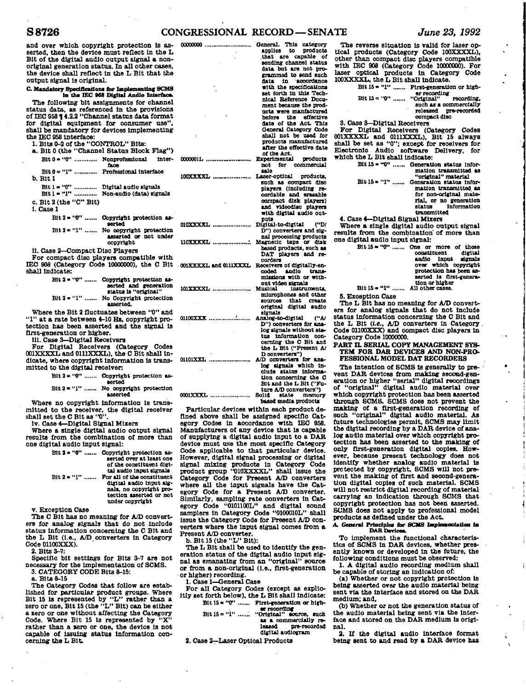## **S8726 CONGRESSIONAL RECORD—SENATE** *June 23, 1992*

**and over which copyright protection Is asserted, then the device must reflect in the L Bit of the digital audio output signal a nonorlglnal generation status. In all other cases, the device shall reflect In the L Bit that the output signal Is original.** 

**C. Mandatory Specifications for Implementing 8CMS**<br> **in the IEC 963 Digital Audio Interface** 

**The following bit assignments for channel status data, as referenced In the provisions of IEC 95814.2.3 "Channel status data format for digital equipment for consumer use", shall be mandatory for devices Implementing the IEC 958 Interface:** 

**1. Bits 0-2 of the "CONTROL." Bits: a. Bit 0 (the "Channel Status Block Flag")** 

Bit  $0 = 40$ " ............. Nonprofessional inter**face**  Bit  $0 = "1"$  ............. Professional interface **0000001L ... 100XXXXL** 

**b. Bit 1** 

Bit 1 = "0" ............. Digital audio signals **Bit 1« "1" Non-audio (data) signals** 

**c. Bit 2 (the "C" Bit)** 

**1. Casel** 

Bit 2 = "0" ....... Copyright protection as**serted**  Bit 2 = "1" ....... No copyright protection

**assarted or not under copyright** 

**II. Case 2—Compact Disc Players** 

**For compact disc players compatible with**  IEC 908 (Category Code 10000000), the C Bit **cOIXXXXL** and 0111XXXL Receivers of digitally-en**shall Indicate:** 

Bit 2 = "0" ....... Copyright protection as**serted and generation status Is "original"**  Bit 2 = "1" ....... No Copyright protection **asserted.** 

**Where the Bit 2 fluctuates between "0" and "1" at a rate between 4-10 Hs. copyright protection has been asserted and the signal Is first-generation or higher.** 

**III. Case 3—Digital Receivers** 

**For Digital Receivers (Category Codes 001XXXXL and 0111XXXL), the C Bit shall indicate, where copyright Information Is transmitted to the digital receiver** 

Bit 2 = "0" ....... Copyright protection as-

**serted**  Bit 2 = "1" ...... No copyright protection

**asserted Where no copyright Information is transmitted to the receiver, the digital receiver shall set the C Bit as "0".** 

**iv. Case 4—Digital Signal Mixers** 

**Where a single digital audio output signal results from the combination of more than one digital audio Input signal:** 

| $Bit 2 = "0" $ | Copyright protection as-<br>serted over at least one<br>of the constituent digi- |
|----------------|----------------------------------------------------------------------------------|
| $Bit 2 * "1" $ | tal audio input signals<br>For all of the constituent                            |
|                | digital audio input sig-<br>nals, no copyright pro-                              |
|                | tection asserted or not                                                          |
|                | under copyright                                                                  |

**v. Exception Case** 

**The C Bit has no meaning for A/D converters for analog signals that do not include status Information concerning the C Bit and the L Bit (i.e., A/D converters in Category Code 01100XXX).** 

**2. Bits 3-7:** 

**Specific bit settings for Bits 3-7 are not necessary for the Implementation of SCMS. 3. CATEGORY CODE Bits 8-15:** 

**a. Bits 8-15** 

**The Category Codes that follow are established for particular product groups. Where Bit 15 is represented by "L" rather than a zero or one. Bit 15 (the "L" Bit) can be either a zero or one without affecting the Category Code. Where Bit 15 is represented by "X"**  rather than a sero or one, the device is not **capable of Issuing status information concerning the L Bit.** 

| <b>00000000</b>       | General. This category<br>applies<br>to products<br>capable of<br>that are<br>sending channel status<br>data but are not pro-<br>grammed to send such<br>data in accordance<br>with the specifications<br>set forth in this Tech-<br>nical Reference Docu-<br>ment because the prod-<br>ucts were manfactured<br>before the effective<br>date of the Act. This |
|-----------------------|----------------------------------------------------------------------------------------------------------------------------------------------------------------------------------------------------------------------------------------------------------------------------------------------------------------------------------------------------------------|
|                       | General Category Code<br>shall not be used for<br>products manufactured<br>after the effective date<br>of the Act.                                                                                                                                                                                                                                             |
| 0000001L              | Experimental<br>products<br>not<br>for commercial<br>aala                                                                                                                                                                                                                                                                                                      |
| 100XXXXL              | Laser-optical<br>products.<br>such as compact disc<br>players (including re-<br>cordable and erasable<br>compact disk players)<br>and videodisc players<br>with digital audio out-                                                                                                                                                                             |
| 010XXXXL              | puts<br>('D)<br>Digital-to-digital<br>D'') converters and sig-                                                                                                                                                                                                                                                                                                 |
| 110XXXXL              | nal processing products<br>Magnetic tape or disk<br>based products, such as<br>DAT players and re-<br>corders                                                                                                                                                                                                                                                  |
| 001XXXXL and 0111XXXL | Receivers of digitally-en-<br>andio trans-<br>coded<br>missions with or with-<br>out video signals                                                                                                                                                                                                                                                             |
| 101XXXXL              | Musical<br>instruments.<br>microphones and other<br>that create<br><b>SOUTCOS</b><br>original digital audio<br>signals                                                                                                                                                                                                                                         |
| 01100XXX              | ("AJ<br>Analog-to-digital<br>D") converters for ana-<br>log signals without sta-<br>tus information con-<br>cerning the C Bit and<br>the L Bit ("Present A/<br>D converters")                                                                                                                                                                                  |
| <b>01101XXL</b>       | A/D converters for ana-<br>log signals which in-<br>ciude status informa-<br>tion concerning the C<br>Bit and the L Bit ("Fu-<br>ture A/D converters")                                                                                                                                                                                                         |

**0001XXXL , Solid state memory based media products** 

**Particular devices within each product defined above shall be assigned specific Category Codes In accordance with IEC 958. Manufacturers of any device that Is capable of supplying a digital audio Input to a DAR device must use the most specific Category Code applicable to that particular device. However, digital signal processing or digital signal mixing products In Category Code product group "010XXXXL" shall Issue the Category Code for Present A/D converters where all the Input signals have the Category Code for a Present A/D converter. Similarly, sampling rate converters In Category Code "01011001." and digital sound samplers in Category Code "0100010L" shall issue the Category Code for Present A/D converters where the Input signal comes from a Present A/D converter.** 

**b. Bit 15 (the "L" Bit):** 

**The L Bit shall be used to identify the generation status of the digital andio input signal as emanating from an "original" source**  or from a non-original (i.e., first-generation **or higher) recording.** 

**1. Case 1—General Case** 

**For all Category Codes (except as explicitly set forth below), the L Bit shall Indicate:**  Bit  $15 = "0"$  ....... Pirst-generation or high-

**er recording Bit 15 = "1" "Original" source, such**  as a commercially re

**leased pre-recorded digital audiogram** 

**2. Case 3—Laser Optical Products** 

**The reverse situation is valid for laser optical products (Category Code 100XXXXL), other than oompact disc players compatible with IEC 908 (Category Code 10000000). For laser optical products in Category Code lOOXXXXL, the L Bit shall indicate.** 

Bit  $15 = "1"$  ....... First-generation or high-**Bit 15 = "0" ....... "Original"** recording, **such as a commercially released pre-recorded oompact disc** 

3. Case 3-Digital Receivers<br>For Digital Receivers (Category Codes<br>601XXXXL and 0111XXXL), Bit 15 always<br>shall be set as "0"; except for receivers for<br>Electronic Audio software Delivery, for<br>which the L Bit shall indicate:

Bit 15 = "0" ....... Generation status infor**matlon transmitted as** 

**"original" material Bit 15 « "1" Generation status information transmitted as for non-original material, or no generation status Information transmitted** 

**4. Case 4—Digital Signal Mixers** 

**Where a single digital audio output signal results from the combination' of more than one digital audio input signal:** 

Bit  $15 = 40$ " ....... One or more of those<br>constituent digital constituent audio input signals<br>over which copyright **protection has been as-serted Is first-generation or higher** 

Bit 15 = "1" ....... All other cases. **6. Exception Case** 

**The L Bit has no meaning for A/D converters for analog signals that do not Include status information concerning the C Bit and the L Bit (i.e., A/D converters in Category Code 01100XXX) and compact disc players In Category Code 10000000.** 

**PART IL SERIAL COPY MANAGEMENT SYS-TEM FOR DAR DEVICES AND NON-PRO-FESSIONAL MODEL DAT RECORDERS** 

**The Intention of SCMS Is generally to prevent DAR devices from making second-gen-eration or higher "serial" digital recordings of "original" digital audio material over which copyright protection has been asserted through SCMS. SCMS does not prevent the making of a first-generation recording of such "original" digital audio material. As future technologies permit, SCMS may limit the digital recording by a DAR device of ana-log audio material over which copyright protection has been asserted to the making of only first-generation digital copies. How-ever, because present technology does not Identify whether analog audio material Is protected by copyright, SCMS will not prevent the making of first and second-generation digital copies of such material. SCMS will not restrict digital recording of material carrying an Indication through SCMS that copyright protection has not been asserted. SUMS does not apply to professional model products as defined under the Act.** 

products as defined under the Act.<br>**A. General Principles for SCMS Implementation in** 

**To implement the functional characteris**tics of SCMS in DAR devices, whether pres**following conditions must be observed:** 

**1. A digital audio recording medium shall be capable of storing an indication of:** 

**(a) Whether or not copyright protection Is being asserted over the audio material being sent via the Interface and stored on the DAR medium; and,** 

**(b) Whether or not the generation status of the audio material being sent via the interface and stored on the DAR medium is original.** 

**2. If the digital audio Interface format being sent to and read by a DAR device has**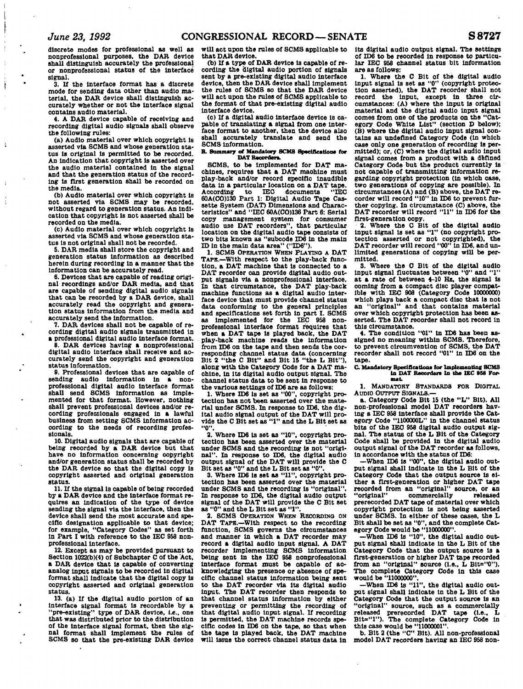ł

 $\mathbf{t}$ 

÷

**discrete modes for professional as well as nonprofessional purposes, the DAB device shall distinguish accurately the professional or nonprofessional status of the Interface signal.** 

**3. If the Interface format has a discrete mode for sending data other than audio material, the DAK device shall distinguish accurately whether or not the Interface signal contains audio material.** 

**4. A DAR device capable of receiving and recording digital audio signals shall observe the following rules:** 

**(a) Audio material over which copyright Is asserted via SCMS and whose generation status is original is permitted to be recorded. An indication that copyright is asserted over the audio material contained In the signal and that the generation status of the recording is first generation shall be recorded on the media.** 

**(b) Audio material over which copyright is not asserted via SCMS may be recorded, without regard to generation status. An Indication that copyright is not asserted shall be recorded on the media.** 

**(c) Audio material over which copyright Is asserted via SCMS and whose generation status is not original shall not be recorded.** 

**5. DAR media shall store the copyright and generation status information as described herein during recording In a manner that the information can be accurately read.** 

**6. Devices that are capable of reading original recordings and/or DAR media, and that are capable of sending digital audio signals that can be reoorded by a DAR device, shall accurately read the copyright and generation status information from the media and accurately send the Information.** 

**7. DAR devices shall not be capable of recording digital audio signals transmitted in** 

**a professional digital audio Interface format. 8. DAR devices having a nonprofessional digital audio interface shall receive and accurately send the copyright and generation status Information.** 

**9. Professional devices that are capable of sending audio information In a nonprofessional digital audio Interface format shall send SCMS information as implemented for that format. However, nothing shall prevent professional devices and/or recording professionals engaged in a lawful business from setting SCMS Information according to the needs of recording professionals.** 

**10. Digital audio signals that are capable of being reoorded by a DAR device but that have no information concerning copyright and/or generation status shall be recorded by the DAR device so that the digital copy Is copyright asserted and original generation status.** 

**11. If the signal is capable of being recorded by a DAR device and the interface format requires an indication of the type of device sending the signal via the Interface, then the device shall send the most accurate and specific designation applicable to that device; for example, "Category Codes" as set forth In Part I with reference to the IEC 958 nonprofessional Interface.** 

**12. Except as may be provided pursuant to Section 1022(b)(4) of Subchapter C of the Act, a DAR device that Is capable of converting analog Input signals to be recorded In digital format shall Indicate that the digital copy is copyright asserted and original generation status.** 

**13. (a) If the digital audio portion of an Interface signal format is recordable by a "pre-existing" type of DAR device, i.e., one that was distributed prior to the distribution of the interface signal format, then the sig-nal format shall Implement the rules of SCMS so that the pre-existing DAR device** 

**that DAR device.** 

**(b) If a type of DAR device is capable of recording the digital audio portion of signals sent by a pre-existing digital audio interface device, then the DAR device shall Implement the rules of SCMS so that the DAR device will act upon the rules of SCMS applicable to the format of that pre-existing digital audio interface device.** 

**(c) If a digital audio interface device Is capable of translating a signal from one Interface format to another, then the device also shall accurately translate and send the SCMS Information.** 

**B. Summary of Mandatory SCMS Spadflcattooa for DAT Recorders** 

**SCMS, to be implemented for DAT machines, requires that a DAT maohlne must play-back and/or record speolflc Inaudible data In a particular location on a DAT tape. According to IEC documents "IEC 60A(CO)130 Part 1: Digital Audio Tape Cassette System (DAT) Dimensions and Characteristics" and "IEC 60A(CO)138 Part 6: Serial copy management system for consumer audio use DAT recorders", that particular location on the digital audio tape consists of two bits known as "subcode ID6 in the main ID In the main data area" ("ID6").** 

**1. SCMS OPERATION WHEN PLAYING A DAT TAPE.—With respect to the play-back function, a DAT machine that is connected to a DAT recorder can provide digital audio output signals via a nonprofessional interface. In that circumstance, the DAT play-back machine functions as a digital audio interface device that must provide channel status data conforming to the general principles and specifications set forth in part I. SCMS as Implemented for the IEC 958 nonprofessional lnterfaoe format requires that when a DAT tape is played back, the DAT play-back machine reads the Information from IDS on the tape and then sends the corresponding channel status data (concerning Bit 2 "the C Bit" and Bit 15 "the L Bit"), along with the Category Code for a DAT machine, in Its digital audio output signal. The channel status data to be sent In response to the various settings of ID6 are as follows:** 

**1. Where ID6 Is set as "00", copyright protection has not been asserted over the material under SCMS. In response to ID6, the digital audio signal output of the DAT will pro-vide the C Bit set as "1" and the L Bit set as "0".** 

**2. Where IDS Is set as "10", copyright protection has been asserted over the material under SCMS and the recording is not "original". In response to IDS, the digital audio output signal of the DAT will provide the C Bit set as "0" and the L Bit set as "0".** 

**3. Where IDS is set as "11", copyright protection has been asserted over the material under SCMS and the recording Is "original". In response to IDS, the digital audio output signal of the DAT will provide the C Bit set**  " and the L Bit set as "1".

**2. SCMS OPERATION WHEN RECORDING ON DAT TAPE.—With respect to the recording function, SCMS governs the circumstances and manner in which a DAT recorder may record a digital audio input signal. A DAT recorder implementing SCMS information**<br> **being sent in the IEO 958 nonprofessional Interface format must be capable of acknowledging the presence or absence of specific channel status information being sent to the DAT recorder via its digital audio input. The DAT recorder then responds to that channel status Information by either preventing or permitting the recording of that digital audio input signal. If recording is permitted, the DAT machine records specific codes in IDS on the tape, so that when the tape Is played back, the DAT machine will issue the correct channel status data in** 

**will act upon the rules of SCMS applicable to Its digital audio output signal. The settings of IDS to be reoorded in response to particular IEC 958 channel status bit Information are as follows:** 

**1. Where the C Bit of the digital audio input signal is set as "0" (copyright protection asserted), the DAT recorder shall not record the Input, except In three circumstances: (A) where the Input is original material and the digital audio Input signal comes from one of the products on the "Category Code White List" (section D below); (B) where the digital audio input signal contains an undefined Category Code (in which case only one generation of recording Is permitted); or, (C) where the digital audio input signal comes from a product with a defined Category Code but the product currently Is not capable of transmitting information regarding copyright protection (In which case, two generations of copying are possible). In circumstances (A) and (B) above, the DAT recorder will record "10" In IDS to prevent further copying. In circumstance (C) above, the DAT recorder will record "11" In ID6 for the first-generation copy.** 

**2. Where the C Bit of the digital audio input signal Is set as "1" (no copyright protection asserted or not copyrighted), the DAT recorder will record "00" In IDS, and unlimited generations of copying will be permitted.** 

**3. Where the C Bit of the digital audio input signal fluctuates between "0" and "1" at a rate of between 4-10 Hz, the signal Is oomlng from a compact disc player compatible with IEC 908 (Category Code 10000000) which plays back a compact dlso that Is not an "original" and that contains material over which copyright protection has been asserted. The DAT reoorder shall not record in this circumstance.** 

**4. The condition "01" In IDS has been assigned no meaning within SCMS. Therefore, to prevent circumvention of SCMS, the DAT recorder shall not record "01" in IDS'on the tape.** 

#### **C Mandatory Spedficationa for Implementing SCMS**  in DAT Recorders In the IEC 958 For**mat**

**1. MANDATORY STANDARDS FOR DIGITAL AUDIO OUTPUT SIGNALS.—** 

**a. Category Code Bit 15 (the "L" Bit). All non-professional model DAT recorders having a IEC 958 interface shall provide the Category Code "1100O00L" In the channel status bits of the IEO 958 digital audio output signal. The status of the L Bit of the Category Code shall be provided In the digital audio output signal Of the DAT recorder as follows. In accordance with the status of IDS:** 

**—When IDS is "00", the digital audio output signal shall lndloate in the L Bit of the Category Code that the output source Is either a first-generation or higher DAT tape reoorded from an "original" source, or an "original" commercially released prerecorded DAT tape of material over which copyright protection Is not being asserted under SCMS. In either of these oases, the L Bit shall be set as "0", and the complete Category Code would be "11000000".** 

**—When IDS Is "10". the digital audio output signal shall Indicate in the L Bit of the Category Code that the output source Is a first-generation or higher DAT tape recorded**  from an "original" source (i.e., L Bit="0"). **The complete Category Code In this case would be "11000000".** 

**—When IDS is "11". the digital audio output signal shall Indicate In the L Bit of the Category Code that the output source Is an "original" source, such as a commercially released prerecorded DAT tape (i.e.. L Bit="l"). The complete Category Code in this case would be "11000001".** 

**b. Bit 2 (the "C" Bit). All non-professional model DAT recorders having an IEC 958 non-**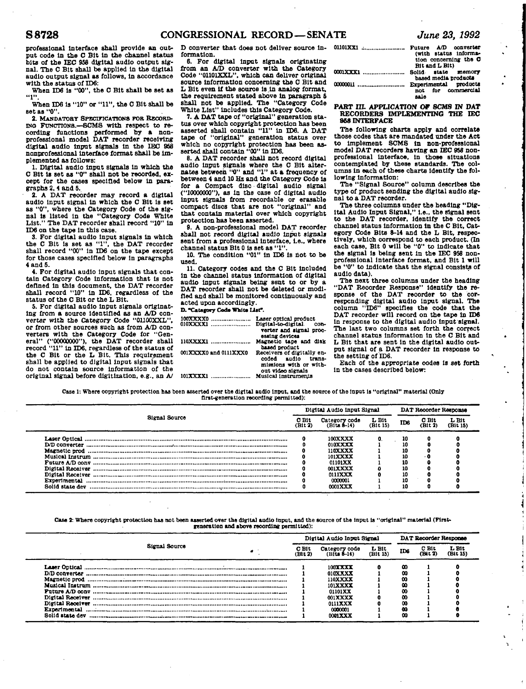**professional Interface shall provide an output code in the C Bit in the channel status bits of the IEC 958 digital audio output signal. The C Bit shall be applied In the digital audio output signal as follows, In accordance with the status of ID6:** 

**When ID6 Is "00", the C Bit shall be set as "1".** 

**When ID6 Is "10" or "11", the C Bit shall be set as "0".** 

**2. MANDATORY SPECIFICATIONS FOB RECORD-ING FUNCTIONS.—SCMS with respect to recording functions performed by a non-professional model DAT recorder receiving digital audio Input signals In the DSC 958 nonprofessional Interface format shall be Implemented as follows:** 

**1. Digital audio Input signals In which the C Bit is set as "0" shall not be recorded, except for the cases specified below In paragraphs 2, 4 and 5.** 

**2. A DAT recorder may record a digital audio Input signal In which the C Bit Is set as "0", where the Category Code of the signal is listed In the "Category Code White List." The DAT recorder shall record "10" In ID6 on the tape In this case.** 

**3. For digital audio Input signals In which the C Bit is set as "1", the DAT recorder shall record "00" In ID6 on the tape except for those cases specified below in paragraphs 4 and 5.** 

**4. For digital audio Input signals that contain Category Code Information that is not defined in this document, the DAT recorder shall record "10" in ID6, regardless of the status of the C Bit or the L Bit.** 

**5. For digital audio input signals originating from a source identified as an A/D converter with the Category Code "01100XXL", or from other sources such as from A/D converters with the Category Code for "Gen**eral" ("00000000"), the DAT recorder shall **record "11" In ID6, regardless of the status of the C Bit or the L Bit. This requirement shall be applied to digital input signals that do not contain source information of the original signal before digitization, e.g., an A/** 

**D converter that does not deliver source information.** 

**6. For digital input signals originating from an A/D converter with the Category Code "01101XXL". which can deliver original source information concerning the C Bit and L Bit even if the source is .In analog format, the requirement stated above in paragraph 6 shall not be applied. The "Category Code White List" Includes this Category Code.** 

**7. A DAT tape of "original" generation status over which copyright protection has been asserted shall contain "11" in ID6. A DAT tape of "original" generation status over which no copyright protection has been as-serted shall contain "00" In ID6.** 

**8. A DAT recorder shall not record digital audio input signals where the C Bit alter-nates between "0" and "1" at a frequency of between 4 and 10 Hz and the Category Code Is for a Compact disc digital audio signal ("10000000"), as In the case of digital audio input signals from recordable or erasable compact discs that are not "original" and that contain material over which copyright protection has been asserted.** 

**9. A non-professional model DAT recorder shall not record digital audio Input signals sent from a professional Interface, Le., where channel status Bit 0 is set as "1".** 

**10. The condition "01" In ID6 Is not to be used.** 

**11. Category codes and the C Bit Included in the channel status Information of digital audio input signals being sent to or by a DAT recorder shall not be deleted or modified and shall be monitored continuously and acted upon accordingly.** 

**D. "Category Code White List".** 

| 100XXXX0<br>010XXXXX1 | Laser optical product<br>Digital-to-digital<br>con-<br>verter and signal proc- |
|-----------------------|--------------------------------------------------------------------------------|
| 110XXXX1              | essing devices                                                                 |
|                       | Magnetic tape and disk<br>based product                                        |
| 001XXXX0 and 0111XXX0 | Receivers of digitally en-<br>coded audio<br>trana-<br>missions with or with-  |
| 101XXXX1              | out video signals<br>Musical instruments                                       |

| 01101XX1  Future A/D converter<br>(with status informa-<br>tion concerning the C<br>Bit and L Bit) |  |  |  |  |  |  |
|----------------------------------------------------------------------------------------------------|--|--|--|--|--|--|
| based media products                                                                               |  |  |  |  |  |  |
| not for commercial<br>sale                                                                         |  |  |  |  |  |  |

#### **PART III. APPLICATION OF SCMS IN DAT RECORDERS IMPLEMENTING THE IEC 868 INTERFACE**

**The following charts apply and correlate those codes that are mandated under the Act to Implement SCMS In non-professional model DAT recorders having an IEC 958 nonprofessional interface. In those situations contemplated by these standards. The columns in each of these charts identify the following Information:** 

**The "Signal Source" column describes the type of product sending the digital audio signal to a DAT recorder.** 

**The three columns under the heading "Digital Audio Input Signal," I.e., the signal sent to the DAT recorder, identify the correct channel status information In the C Bit, Category Code Bits 8-14 and the L Bit, respectively, which correspond to each product. (In each case. Bit 0 will be "0" to Indicate that the signal is being sent in the IEC 958 nonprofessional Interface format, and Bit 1 will be "0" to Indicate that the signal consists of audio data).** 

**The next three columns under the heading "DAT Recorder Response" identify the response of the DAT recorder to the corresponding digital audio input signal. The column "TD6" specifies the code that the DAT recorder will record on the tape in ID6 in response to the digital audio input signal. The last two columns set forth the correct channel status information in the C Bit and L Bit that are sent in the digital audio output signal of a DAT recorder in response to the setting of ID6.** 

**Each of the appropriate codes is set forth In the cases described below:** 

**Case 1: Where copyright protection has been asserted over the digital audio Input, and the source of the Input Is "original" material (Only first-generation recording permitted):** 

|                  |                  | Digital Audio Input Signal   |                                            | DAT Recorder Response |                  |                   |
|------------------|------------------|------------------------------|--------------------------------------------|-----------------------|------------------|-------------------|
| Signal Source    | C Bit<br>(Bit 2) | Category code<br>(Bits 8–14) | L Bit<br>(B <sub>1</sub> t <sub>15</sub> ) | ID <sub>8</sub>       | C Bit<br>(Bit 2) | L Bit<br>(Bit 15) |
|                  |                  | 100XXXX                      |                                            | 10                    | 0                |                   |
| D/D converter    |                  | 010XXXX                      |                                            | 10                    |                  |                   |
| Magnetic prod    |                  | 110XXXX                      |                                            | 10                    |                  |                   |
|                  |                  | 101XXXX                      |                                            | 10                    | - 0              |                   |
| Future A/D conv  |                  | 01101XX                      |                                            | 10                    |                  |                   |
| Digital Receiver |                  | 001XXXX                      |                                            | 10                    |                  |                   |
| Digital Receiver |                  | $0111$ XXX                   |                                            | 10                    |                  |                   |
| Experimental     |                  | 0000001                      |                                            | 10                    |                  |                   |
| Solid state dev  |                  | 0001XXX                      |                                            | 10                    | o                |                   |

**Case 2: Where copyright protection has not been asserted over the digital audio input, and the source of the Input Is "original" material (Firstgeneration and above recording permitted):** 

|                  | Digital Audio Input Signal |                  |                              |                   |         |                 | DAT Recorder Response |  |  |  |
|------------------|----------------------------|------------------|------------------------------|-------------------|---------|-----------------|-----------------------|--|--|--|
| Signal Source    |                            | C Bit<br>(Bit 2) | Category code<br>(Bits 8–14) | L Bit<br>(Bit 15) | IDs     | C Bit<br>(Bit T | L Bit<br>(Bit 15)     |  |  |  |
|                  |                            |                  | 1003333                      |                   | 00      |                 |                       |  |  |  |
| D/D converter    |                            |                  | 010XXXX                      |                   | 00      |                 |                       |  |  |  |
|                  |                            |                  | 110XXXX                      |                   | 00      |                 |                       |  |  |  |
|                  |                            |                  | 101XXXX                      |                   | 00      |                 |                       |  |  |  |
| Puture A/D conv  |                            |                  | 01101XX                      |                   | 00      |                 |                       |  |  |  |
| Digital Receiver |                            |                  | 001XXXX                      |                   | $_{00}$ |                 |                       |  |  |  |
| Digital Receiver |                            |                  | 0111XXX                      |                   | 08      |                 |                       |  |  |  |
| Experimental     |                            |                  | 0000001                      |                   | - 60    |                 |                       |  |  |  |
| Solid state dev  |                            |                  | 0001XXX                      |                   | 00      |                 |                       |  |  |  |
|                  |                            |                  |                              |                   |         |                 |                       |  |  |  |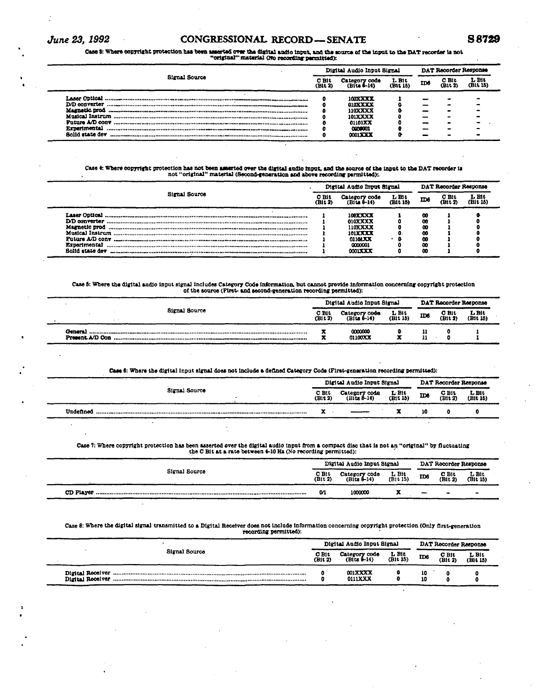# *June 23, 1992* **CONGRESSIONAL RECORD—SENATE S8729**

# Case 3: Where copyright protection has been asserted over the digital aadio input, and the source of the input to the DAT recorder is not<br>"original" material (No recording-permitted):

|                      |                  | Digital Audio Input Signal   | DAT Recorder Response |     |                  |                   |
|----------------------|------------------|------------------------------|-----------------------|-----|------------------|-------------------|
| <b>Signal Source</b> | C Bit<br>(Bit 2) | Category code<br>(Bits 6-14) | $L$ Bit<br>(Bit 15)   | ID6 | C Bit<br>(Bit 2) | L Bit<br>(Bit 15) |
| Lasar Optical        |                  | <b>100XXXX</b>               |                       |     |                  |                   |
| <b>D/D</b> converter |                  | 010XXXX                      |                       |     |                  |                   |
| <b>Magnetic prod</b> |                  | <b>110XXXX</b>               |                       |     |                  |                   |
|                      |                  | 101XXXX                      |                       |     |                  |                   |
| Future A/D conv      |                  | 01101XX                      |                       |     |                  |                   |
| Experimental         |                  | 0000001                      |                       |     |                  |                   |
| Solid state dev      |                  | 00013333                     |                       |     |                  |                   |

# Case 4: Where copyright protection has not been asserted over the digital audio input, and the source of the input to the DAT recorder is<br>not "original" material (Second-generation and above recording parmitted):

| Signal Source                                                                | Digital Audio Input Signal |                                                                                  |                  |                                      | DAT Recorder Response |                   |  |  |
|------------------------------------------------------------------------------|----------------------------|----------------------------------------------------------------------------------|------------------|--------------------------------------|-----------------------|-------------------|--|--|
|                                                                              | C Bit<br>(Bit 2)           | Category code<br>(Bits 8-14)                                                     | LBit<br>(B1t 15) | ID6                                  | C Bit<br>(Bit 7       | L Bit<br>(Bit 15) |  |  |
| Musical Instrum<br>Future A/D conv<br><b>Experimental</b><br>Solid state dev |                            | 100XXXX<br><b>010XXXX</b><br>110XXXX<br>101XXXX<br>0110LXX<br>0000001<br>0001733 | л.               | 00<br>œ<br>œ<br>00<br>00<br>00<br>00 |                       |                   |  |  |

# Case 5: Where the digital audio input signal includes Category Code information, but cannot provide information concerning copyright protection of the source (First- and second-generation recording permitted):<br>of the sourc

|  |               | Digital Audio Input Signal |                                |                     |     | DAT Recorder Response |                     |  |  |
|--|---------------|----------------------------|--------------------------------|---------------------|-----|-----------------------|---------------------|--|--|
|  | Signal Source | C Bit<br>(Bit 2)           | Category code<br>$(Bita 4-14)$ | $L$ Bit<br>(Bit 15) | ID6 | C Bit<br>(Bit 2)      | $L$ Bit<br>(Bit 15) |  |  |
|  |               |                            | 0000000<br>01100XX             | -                   |     |                       |                     |  |  |

#### **Case 8: Where the digital Input signal does not Include a defined Category Code (First-generation recording permitted):**

| Signal Source |                  | Digital Audio Input Signal     | DAT Recorder Response |     |                      |                   |
|---------------|------------------|--------------------------------|-----------------------|-----|----------------------|-------------------|
|               | C Bit<br>(Bit 2) | Category code<br>$(Bits 8-14)$ | $L$ Bit<br>(Bit 15)   | ID6 | $C$ . Bit<br>(Bit 2) | L Bit<br>(Bit 15) |
| Undefined     | ▴                |                                |                       | 10  |                      |                   |
|               |                  |                                |                       |     |                      |                   |

# **Case 7: Where copyright protection has been asserted over the digital audio Input from a compact disc that Is not an "original" by fluctuating the C Bit at a rate between 4-10 Hz (No recording permitted):**

| Signal Source | Digital Audio Input Signal<br>DAT Recorder Response |                                |                     |                          |                  |                   |  |
|---------------|-----------------------------------------------------|--------------------------------|---------------------|--------------------------|------------------|-------------------|--|
|               | $C$ Bit<br>(Bit 2)                                  | Category code<br>$(Bits 0-14)$ | $L$ Bit<br>(Bit 15) | ID6                      | C Bit<br>(Bit 2) | L Bit<br>(Bit 15) |  |
|               | M.                                                  | 1000000                        |                     | $\overline{\phantom{0}}$ |                  | $\blacksquare$    |  |

# **Case 8: Where the digital signal transmitted to a Digital Receiver does not Include Information concerning copyright protection (Only first-generation recording permitted):**

|               | Digital Audio Input Signal |                                  |                     | DAT Recorder Response |                    |                   |
|---------------|----------------------------|----------------------------------|---------------------|-----------------------|--------------------|-------------------|
| Signal Source |                            | Category code<br>$(Hits 1-14)$   | $L$ Bit<br>(Bit 15) | ID6                   | $C$ Bit<br>(Bit 2) | L Bit<br>(Bit 15) |
|               |                            | <b>001XXXX</b><br><b>0111XXX</b> |                     | 10<br>10              |                    |                   |